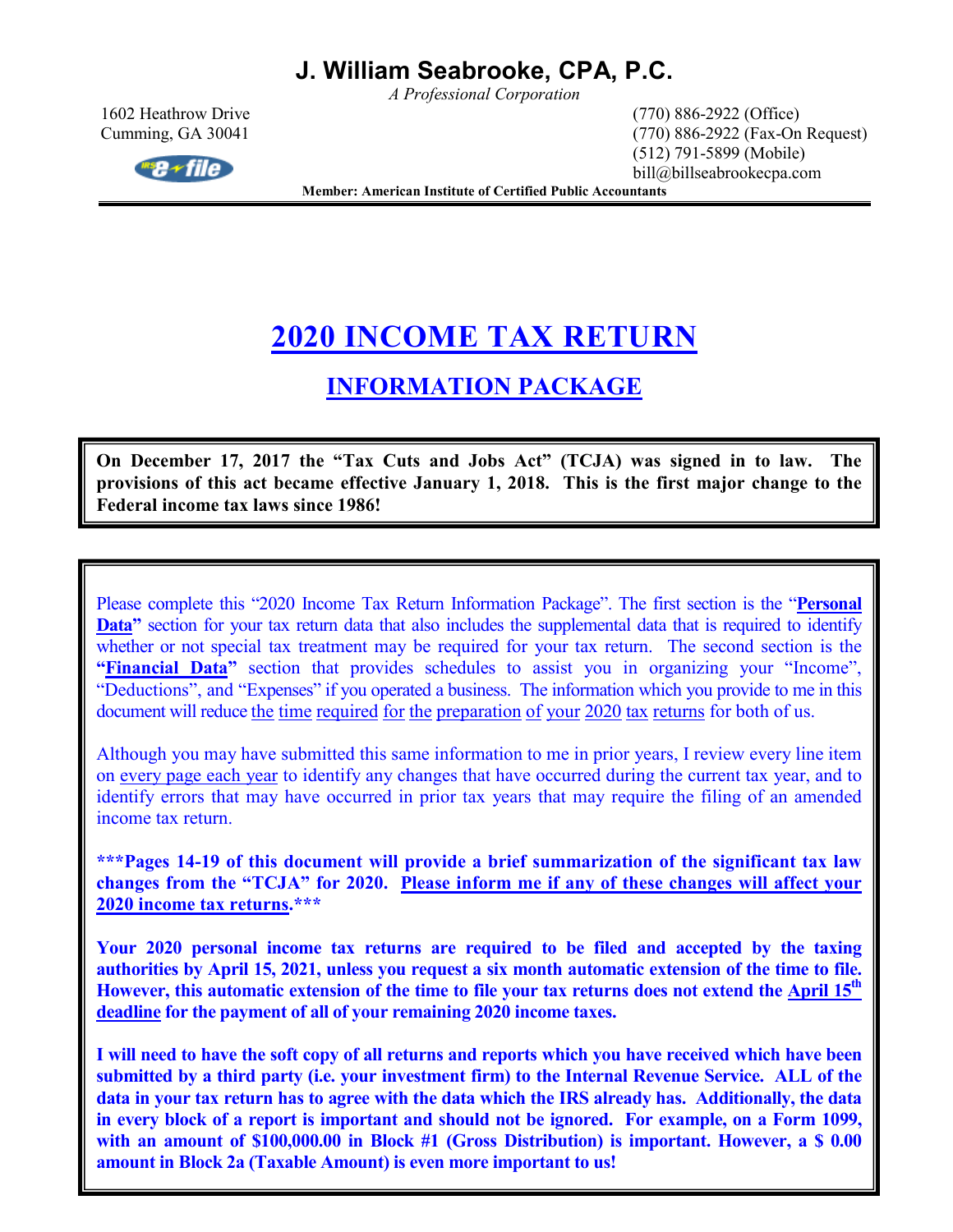*A Professional Corporation* 



1602 Heathrow Drive (770) 886-2922 (Office) Cumming, GA 30041 (770) 886-2922 (Fax-On Request) (512) 791-5899 (Mobile) bill@billseabrookecpa.com

**Member: American Institute of Certified Public Accountants** 

# **2020 INCOME TAX RETURN**

### **INFORMATION PACKAGE**

**On December 17, 2017 the "Tax Cuts and Jobs Act" (TCJA) was signed in to law. The provisions of this act became effective January 1, 2018. This is the first major change to the Federal income tax laws since 1986!** 

Please complete this "2020 Income Tax Return Information Package". The first section is the "**Personal Data**" section for your tax return data that also includes the supplemental data that is required to identify whether or not special tax treatment may be required for your tax return. The second section is the **"Financial Data"** section that provides schedules to assist you in organizing your "Income", "Deductions", and "Expenses" if you operated a business. The information which you provide to me in this document will reduce the time required for the preparation of your 2020 tax returns for both of us.

Although you may have submitted this same information to me in prior years, I review every line item on every page each year to identify any changes that have occurred during the current tax year, and to identify errors that may have occurred in prior tax years that may require the filing of an amended income tax return.

**\*\*\*Pages 14-19 of this document will provide a brief summarization of the significant tax law changes from the "TCJA" for 2020. Please inform me if any of these changes will affect your 2020 income tax returns.\*\*\*** 

**Your 2020 personal income tax returns are required to be filed and accepted by the taxing authorities by April 15, 2021, unless you request a six month automatic extension of the time to file. However, this automatic extension of the time to file your tax returns does not extend the April 15th deadline for the payment of all of your remaining 2020 income taxes.** 

**I will need to have the soft copy of all returns and reports which you have received which have been submitted by a third party (i.e. your investment firm) to the Internal Revenue Service. ALL of the data in your tax return has to agree with the data which the IRS already has. Additionally, the data in every block of a report is important and should not be ignored. For example, on a Form 1099, with an amount of \$100,000.00 in Block #1 (Gross Distribution) is important. However, a \$ 0.00 amount in Block 2a (Taxable Amount) is even more important to us!**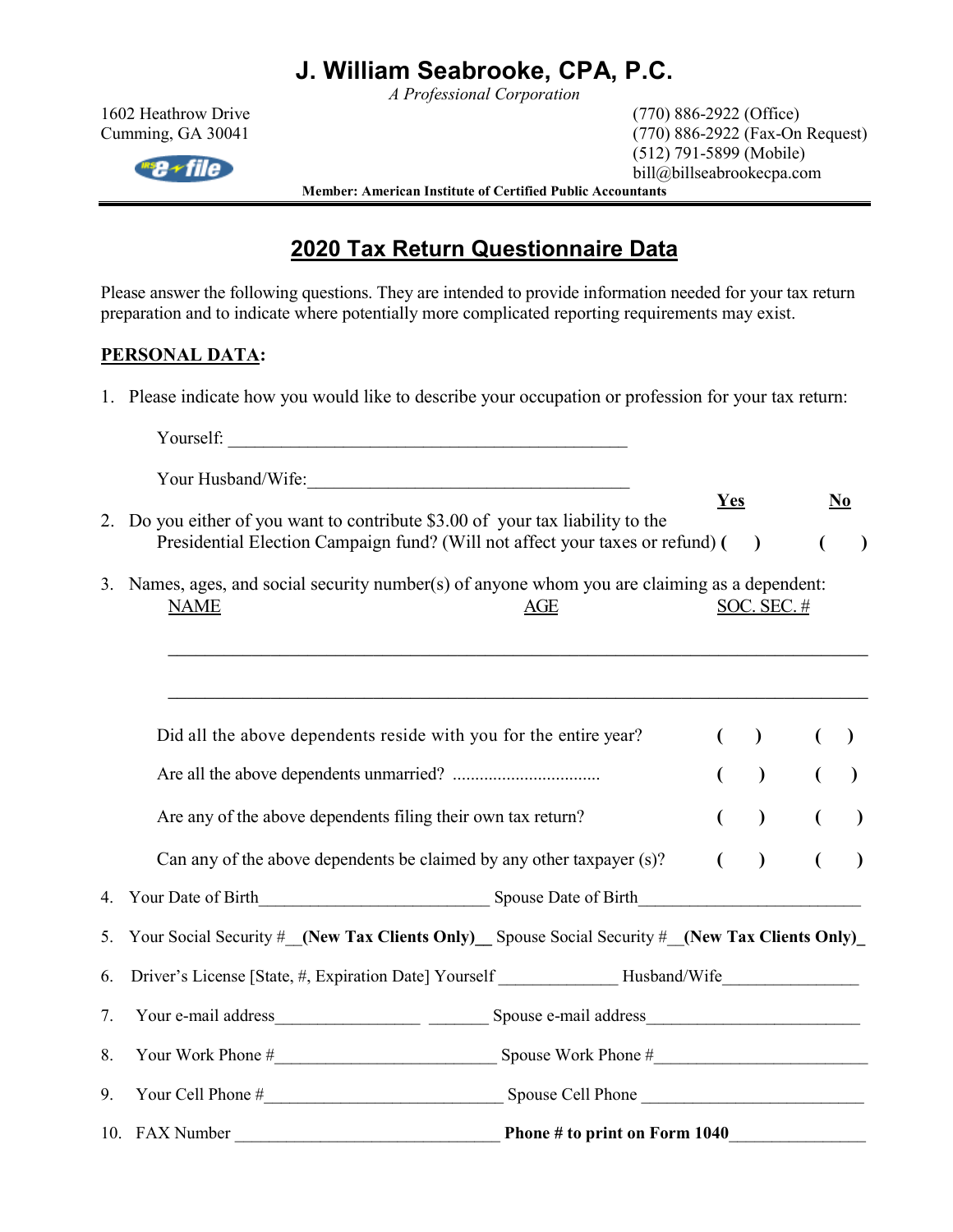*A Professional Corporation* 

 $\mathbb{R}$ se + file

1602 Heathrow Drive (770) 886-2922 (Office) Cumming, GA 30041 (770) 886-2922 (Fax-On Request) (512) 791-5899 (Mobile) bill@billseabrookecpa.com

**Member: American Institute of Certified Public Accountants** 

### **2020 Tax Return Questionnaire Data**

Please answer the following questions. They are intended to provide information needed for your tax return preparation and to indicate where potentially more complicated reporting requirements may exist.

### **PERSONAL DATA:**

1. Please indicate how you would like to describe your occupation or profession for your tax return:

|    | Yourself:                                                                                                    |     |     |                    |                |                |
|----|--------------------------------------------------------------------------------------------------------------|-----|-----|--------------------|----------------|----------------|
|    |                                                                                                              |     |     |                    |                |                |
| 2. | Do you either of you want to contribute \$3.00 of your tax liability to the                                  |     | Yes |                    |                | N <sub>0</sub> |
|    | Presidential Election Campaign fund? (Will not affect your taxes or refund) (                                |     |     | $\big)$            |                | $\lambda$      |
|    | 3. Names, ages, and social security number(s) of anyone whom you are claiming as a dependent:<br><b>NAME</b> | AGE |     | <b>SOC. SEC. #</b> |                |                |
|    | Did all the above dependents reside with you for the entire year?                                            |     |     | $\lambda$          |                | $\lambda$      |
|    |                                                                                                              |     |     |                    |                |                |
|    |                                                                                                              |     |     | $\mathcal{L}$      |                | $\lambda$      |
|    | Are any of the above dependents filing their own tax return?                                                 |     |     | $\mathcal{L}$      |                | $\lambda$      |
|    | Can any of the above dependents be claimed by any other taxpayer (s)?                                        |     |     | $\lambda$          | $\overline{(}$ | $\lambda$      |
|    |                                                                                                              |     |     |                    |                |                |
| 5. | Your Social Security # (New Tax Clients Only) Spouse Social Security # (New Tax Clients Only)                |     |     |                    |                |                |
| 6. | Driver's License [State, #, Expiration Date] Yourself ______________Husband/Wife____________________         |     |     |                    |                |                |
| 7. |                                                                                                              |     |     |                    |                |                |
| 8. |                                                                                                              |     |     |                    |                |                |
| 9. |                                                                                                              |     |     |                    |                |                |
|    |                                                                                                              |     |     |                    |                |                |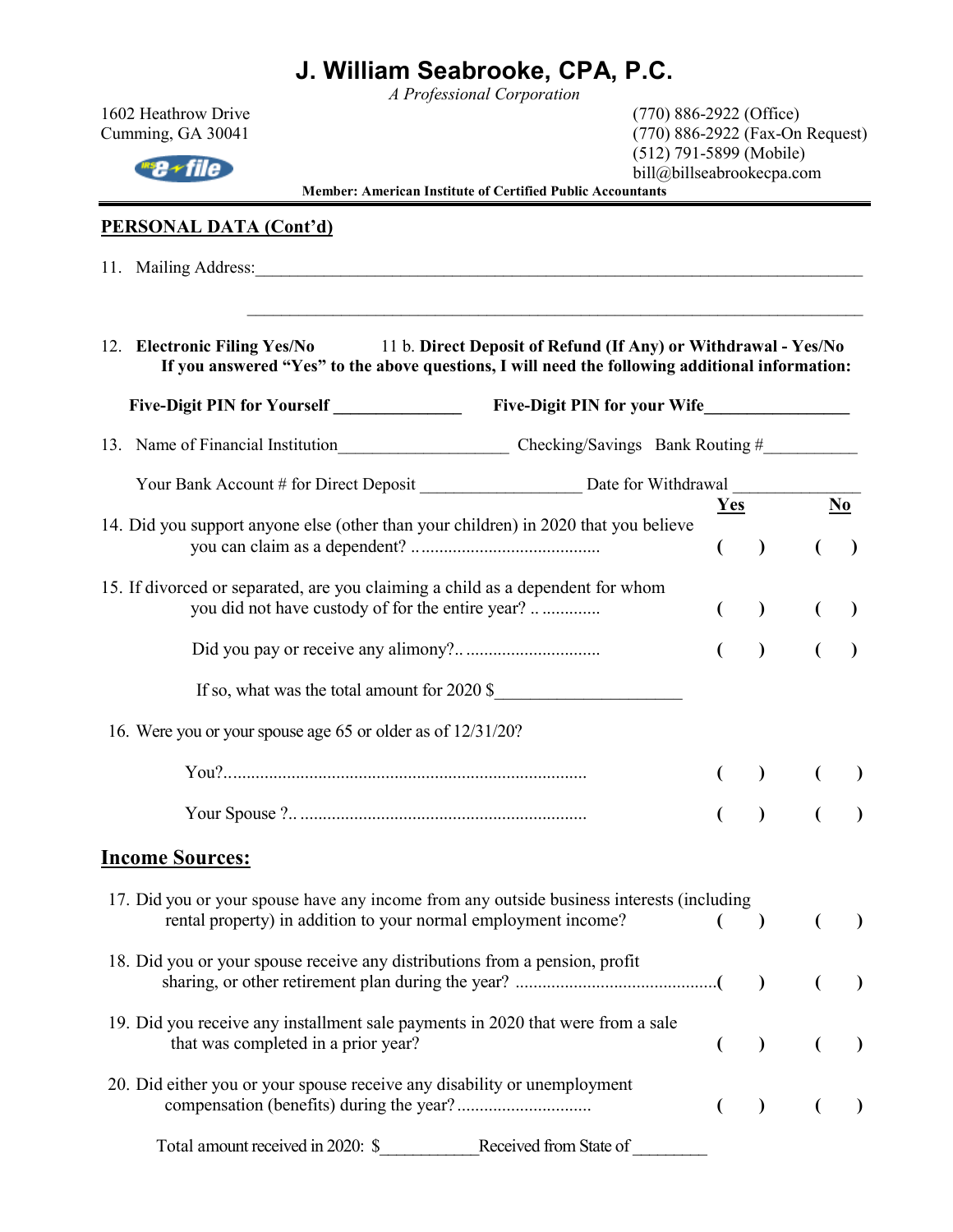*A Professional Corporation* 

 $\frac{mg}{r}$  file

1602 Heathrow Drive (770) 886-2922 (Office) Cumming, GA 30041 (770) 886-2922 (Fax-On Request) (512) 791-5899 (Mobile) bill@billseabrookecpa.com

**Member: American Institute of Certified Public Accountants** 

### **PERSONAL DATA (Cont'd)**

11. Mailing Address:\_\_\_\_\_\_\_\_\_\_\_\_\_\_\_\_\_\_\_\_\_\_\_\_\_\_\_\_\_\_\_\_\_\_\_\_\_\_\_\_\_\_\_\_\_\_\_\_\_\_\_\_\_\_\_\_\_\_\_\_\_\_\_\_\_\_\_\_\_\_\_

|  | 12. Electronic Filing Yes/No | 11 b. Direct Deposit of Refund (If Any) or Withdrawal - Yes/No                                  |
|--|------------------------------|-------------------------------------------------------------------------------------------------|
|  |                              | If you answered "Yes" to the above questions, I will need the following additional information: |
|  |                              |                                                                                                 |

Five-Digit PIN for Yourself **Example 20** Five-Digit PIN for your Wife

 $\mathcal{L}_\text{max} = \frac{1}{2} \sum_{i=1}^{n} \frac{1}{2} \sum_{i=1}^{n} \frac{1}{2} \sum_{i=1}^{n} \frac{1}{2} \sum_{i=1}^{n} \frac{1}{2} \sum_{i=1}^{n} \frac{1}{2} \sum_{i=1}^{n} \frac{1}{2} \sum_{i=1}^{n} \frac{1}{2} \sum_{i=1}^{n} \frac{1}{2} \sum_{i=1}^{n} \frac{1}{2} \sum_{i=1}^{n} \frac{1}{2} \sum_{i=1}^{n} \frac{1}{2} \sum_{i=1}^{n} \frac{1$ 

|                                                                                     |                                                                |                                                                                           |                | Yes           | N <sub>0</sub> |
|-------------------------------------------------------------------------------------|----------------------------------------------------------------|-------------------------------------------------------------------------------------------|----------------|---------------|----------------|
| 14. Did you support anyone else (other than your children) in 2020 that you believe |                                                                |                                                                                           |                | $\lambda$     |                |
| 15. If divorced or separated, are you claiming a child as a dependent for whom      | you did not have custody of for the entire year?               |                                                                                           | $\overline{ }$ | $\lambda$     |                |
|                                                                                     |                                                                |                                                                                           | €              | $\lambda$     |                |
|                                                                                     |                                                                | If so, what was the total amount for 2020 \$                                              |                |               |                |
| 16. Were you or your spouse age 65 or older as of 12/31/20?                         |                                                                |                                                                                           |                |               |                |
|                                                                                     |                                                                |                                                                                           |                |               |                |
|                                                                                     |                                                                |                                                                                           |                | $\lambda$     |                |
| <b>Income Sources:</b>                                                              |                                                                |                                                                                           |                |               |                |
|                                                                                     | rental property) in addition to your normal employment income? | 17. Did you or your spouse have any income from any outside business interests (including |                | $\lambda$     |                |
| 18. Did you or your spouse receive any distributions from a pension, profit         |                                                                |                                                                                           |                | $\lambda$     | $\lambda$      |
|                                                                                     | that was completed in a prior year?                            | 19. Did you receive any installment sale payments in 2020 that were from a sale           |                | $\mathcal{L}$ | $\mathcal{L}$  |
| 20. Did either you or your spouse receive any disability or unemployment            |                                                                |                                                                                           | $\overline{(}$ | $\mathcal{L}$ | $\lambda$      |
| Total amount received in 2020: \$                                                   |                                                                | Received from State of                                                                    |                |               |                |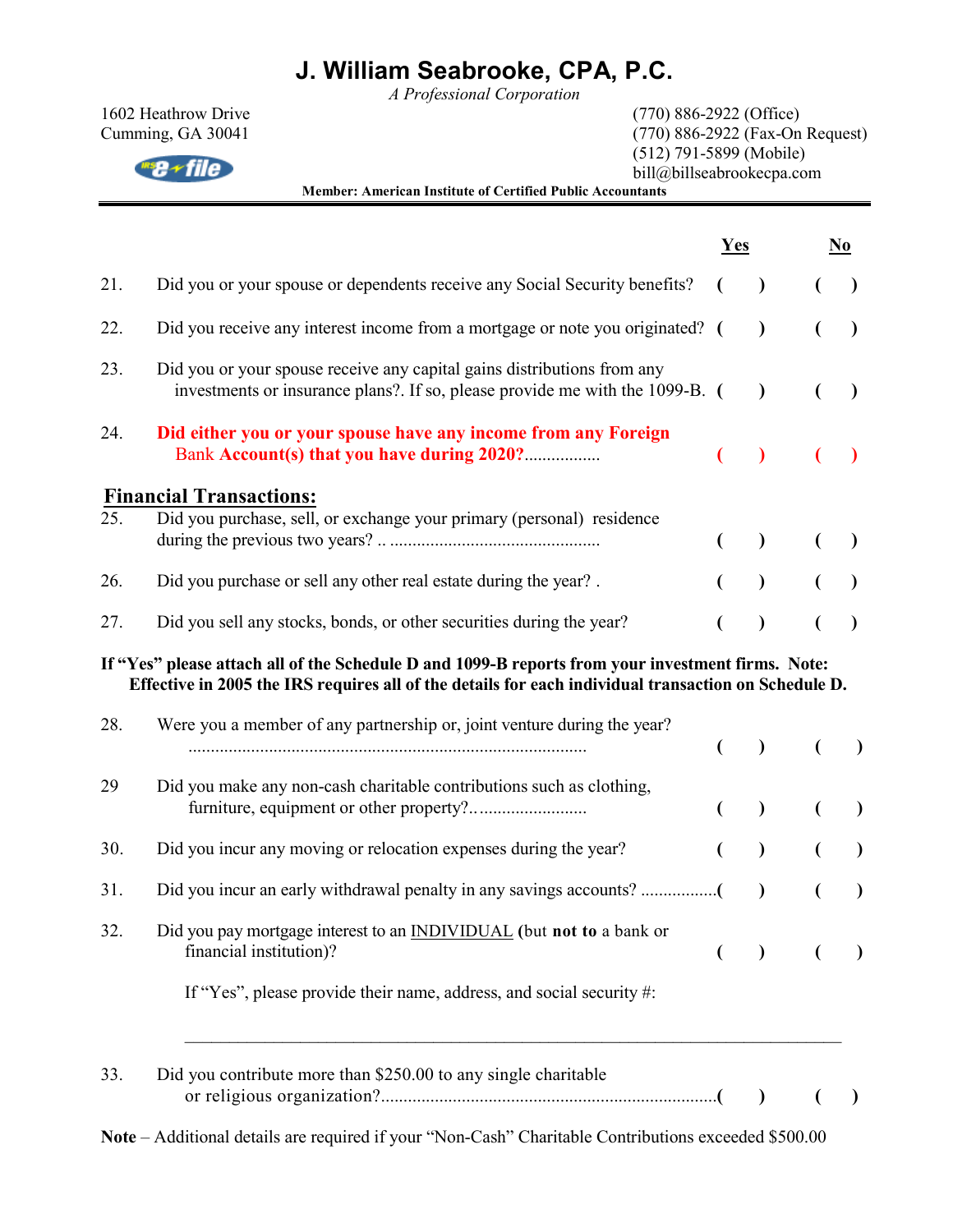*A Professional Corporation* 

 $\frac{ms}{\sqrt{m}}$ 

1602 Heathrow Drive (770) 886-2922 (Office) Cumming, GA 30041 (770) 886-2922 (Fax-On Request) (512) 791-5899 (Mobile) bill@billseabrookecpa.com

**Member: American Institute of Certified Public Accountants** 

|     |                                                                                                                                                                                                           | Yes |               | N <sub>0</sub> |
|-----|-----------------------------------------------------------------------------------------------------------------------------------------------------------------------------------------------------------|-----|---------------|----------------|
| 21. | Did you or your spouse or dependents receive any Social Security benefits?                                                                                                                                |     | $\mathcal{E}$ |                |
| 22. | Did you receive any interest income from a mortgage or note you originated? (                                                                                                                             |     | $\mathcal{E}$ |                |
| 23. | Did you or your spouse receive any capital gains distributions from any<br>investments or insurance plans?. If so, please provide me with the 1099-B. (                                                   |     | $\lambda$     |                |
| 24. | Did either you or your spouse have any income from any Foreign<br>Bank Account(s) that you have during 2020?                                                                                              |     |               |                |
|     | <b>Financial Transactions:</b>                                                                                                                                                                            |     |               |                |
| 25. | Did you purchase, sell, or exchange your primary (personal) residence                                                                                                                                     |     |               |                |
| 26. | Did you purchase or sell any other real estate during the year?.                                                                                                                                          |     |               |                |
| 27. | Did you sell any stocks, bonds, or other securities during the year?                                                                                                                                      |     |               |                |
|     | If "Yes" please attach all of the Schedule D and 1099-B reports from your investment firms. Note:<br>Effective in 2005 the IRS requires all of the details for each individual transaction on Schedule D. |     |               |                |
| 28. | Were you a member of any partnership or, joint venture during the year?                                                                                                                                   |     | $\mathcal{L}$ |                |
| 29  | Did you make any non-cash charitable contributions such as clothing,                                                                                                                                      |     | $\mathcal{L}$ |                |
| 30. | Did you incur any moving or relocation expenses during the year?                                                                                                                                          |     | $\mathcal{L}$ |                |
| 31. |                                                                                                                                                                                                           |     | $\lambda$     | $\lambda$      |
| 32. | Did you pay mortgage interest to an <b>INDIVIDUAL</b> (but not to a bank or<br>financial institution)?                                                                                                    |     | $\mathcal{L}$ |                |
|     | If "Yes", please provide their name, address, and social security #:                                                                                                                                      |     |               |                |
| 33. | Did you contribute more than \$250.00 to any single charitable                                                                                                                                            |     | $\rightarrow$ |                |
|     | ditional details are required if your "Non Cook" Charitable Contributions areasoded \$500.00.                                                                                                             |     |               |                |

**Note** – Additional details are required if your "Non-Cash" Charitable Contributions exceeded \$500.00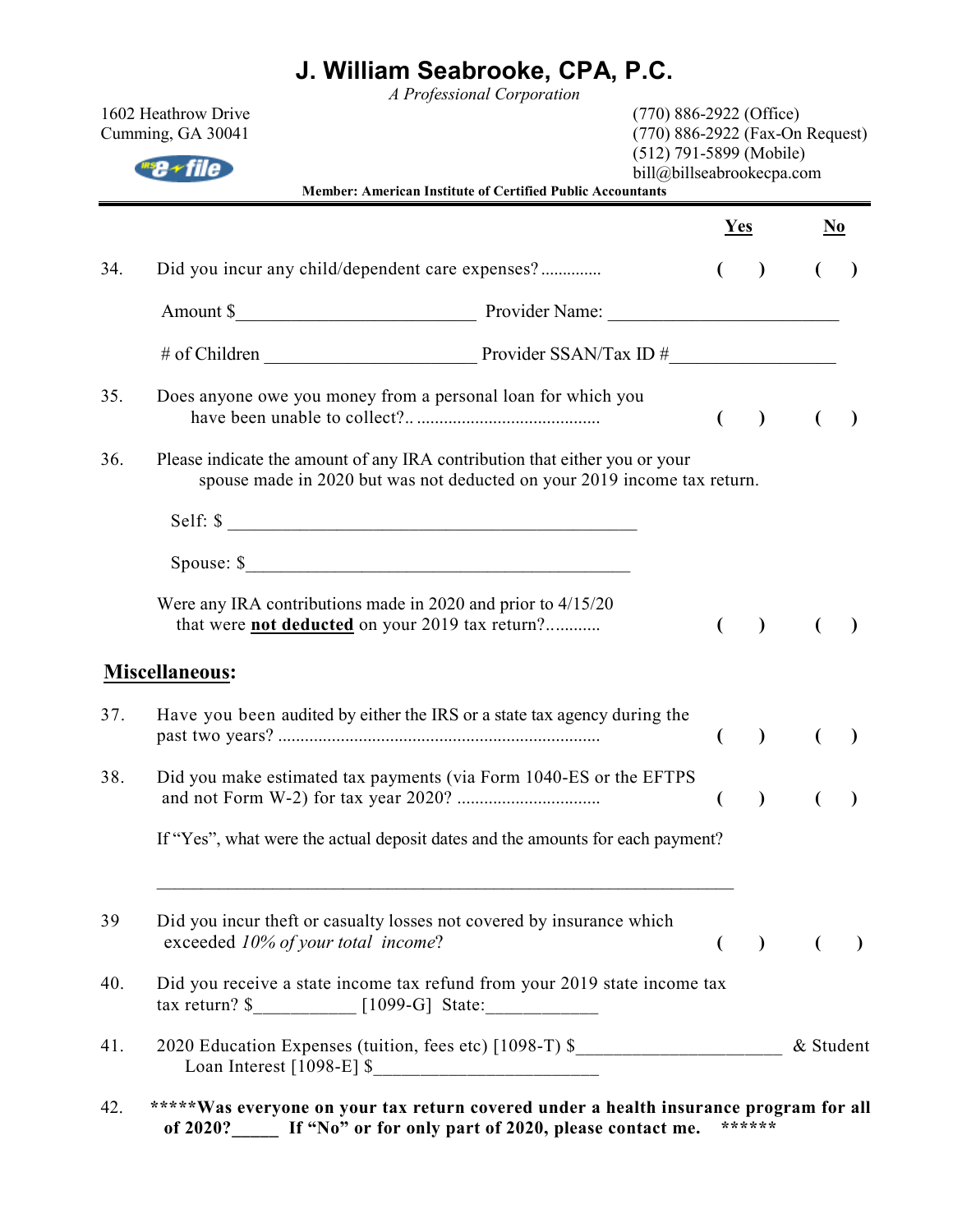*A Professional Corporation* 

|     | 1602 Heathrow Drive<br>Cumming, GA 30041<br>Member: American Institute of Certified Public Accountants                                                 | $(770)$ 886-2922 (Office)<br>(770) 886-2922 (Fax-On Request)<br>$(512)$ 791-5899 (Mobile)<br>bill@billseabrookecpa.com |                          |             |                                    |
|-----|--------------------------------------------------------------------------------------------------------------------------------------------------------|------------------------------------------------------------------------------------------------------------------------|--------------------------|-------------|------------------------------------|
|     |                                                                                                                                                        | <b>Yes</b>                                                                                                             |                          |             | $\underline{\mathbf{N}\mathbf{o}}$ |
| 34. | Did you incur any child/dependent care expenses?                                                                                                       |                                                                                                                        | $\rightarrow$            |             |                                    |
|     |                                                                                                                                                        |                                                                                                                        |                          |             |                                    |
|     |                                                                                                                                                        |                                                                                                                        |                          |             |                                    |
| 35. | Does anyone owe you money from a personal loan for which you                                                                                           | €                                                                                                                      | $\overline{\phantom{a}}$ | €           |                                    |
| 36. | Please indicate the amount of any IRA contribution that either you or your<br>spouse made in 2020 but was not deducted on your 2019 income tax return. |                                                                                                                        |                          |             |                                    |
|     | Self: \$                                                                                                                                               |                                                                                                                        |                          |             |                                    |
|     | Spouse: $\frac{\text{space}}{2}$                                                                                                                       |                                                                                                                        |                          |             |                                    |
|     | Were any IRA contributions made in 2020 and prior to $4/15/20$<br>that were <b>not deducted</b> on your 2019 tax return?                               |                                                                                                                        | $\lambda$                |             |                                    |
|     | <b>Miscellaneous:</b>                                                                                                                                  |                                                                                                                        |                          |             |                                    |
| 37. | Have you been audited by either the IRS or a state tax agency during the                                                                               | €                                                                                                                      | $\big)$                  | €           | $\lambda$                          |
| 38. | Did you make estimated tax payments (via Form 1040-ES or the EFTPS                                                                                     |                                                                                                                        |                          |             |                                    |
|     | If "Yes", what were the actual deposit dates and the amounts for each payment?                                                                         |                                                                                                                        |                          |             |                                    |
| 39  | Did you incur theft or casualty losses not covered by insurance which<br>exceeded 10% of your total income?                                            | $\left($                                                                                                               |                          | $\bigcup$ ( | $\lambda$                          |
| 40. | Did you receive a state income tax refund from your 2019 state income tax                                                                              |                                                                                                                        |                          |             |                                    |
| 41. | 2020 Education Expenses (tuition, fees etc) [1098-T) \$_________________________ & Student                                                             |                                                                                                                        |                          |             |                                    |
| 42. | *****Was everyone on your tax return covered under a health insurance program for all                                                                  |                                                                                                                        |                          |             |                                    |

**of 2020?\_\_\_\_\_ If "No" or for only part of 2020, please contact me. \*\*\*\*\*\***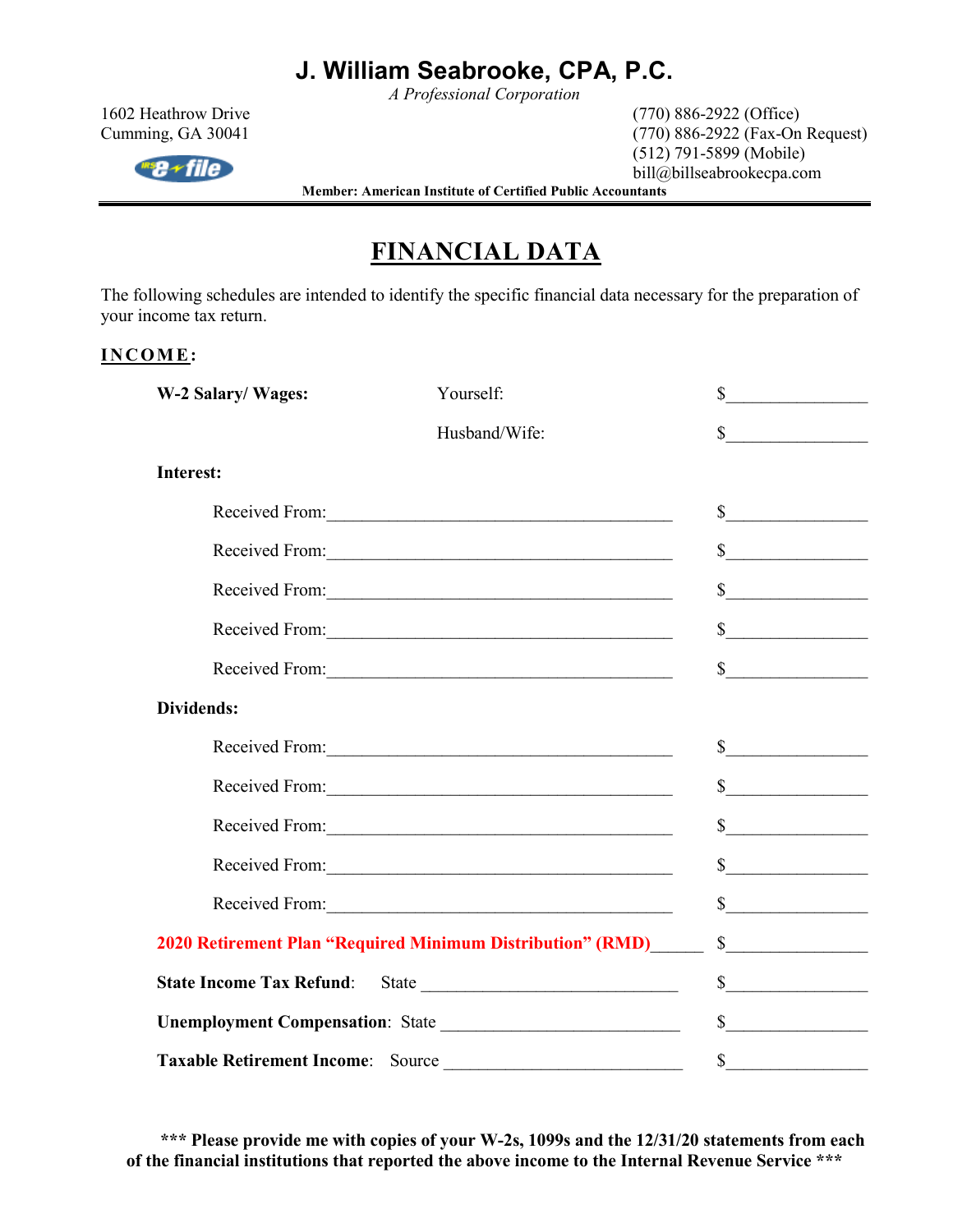*A Professional Corporation* 

 $ms \rightarrow file$ 

1602 Heathrow Drive (770) 886-2922 (Office) Cumming, GA 30041 (770) 886-2922 (Fax-On Request) (512) 791-5899 (Mobile) bill@billseabrookecpa.com

**Member: American Institute of Certified Public Accountants** 

## **FINANCIAL DATA**

The following schedules are intended to identify the specific financial data necessary for the preparation of your income tax return.

### INCOME:

| W-2 Salary/Wages: | Yourself:                                                        | $\mathbb{S}$                                                                                                                                                                                                                                                                                                                                                                                                                                                                                                 |
|-------------------|------------------------------------------------------------------|--------------------------------------------------------------------------------------------------------------------------------------------------------------------------------------------------------------------------------------------------------------------------------------------------------------------------------------------------------------------------------------------------------------------------------------------------------------------------------------------------------------|
|                   | Husband/Wife:                                                    | $\sim$                                                                                                                                                                                                                                                                                                                                                                                                                                                                                                       |
| <b>Interest:</b>  |                                                                  |                                                                                                                                                                                                                                                                                                                                                                                                                                                                                                              |
|                   | Received From:                                                   | $\begin{array}{c c c c c} \hline \multicolumn{3}{c }{\textbf{\textcolor{red}{\bf S}}}\hline \multicolumn{3}{c }{\textbf{\textcolor{red}{\bf S}}}\hline \multicolumn{3}{c }{\textbf{\textcolor{red}{\bf S}}}\hline \multicolumn{3}{c }{\textbf{\textcolor{red}{\bf S}}}\hline \multicolumn{3}{c }{\textbf{\textcolor{red}{\bf S}}}\hline \multicolumn{3}{c }{\textbf{\textcolor{red}{\bf S}}}\hline \multicolumn{3}{c }{\textbf{\textcolor{red}{\bf S}}}\hline \multicolumn{3}{c }{\textbf{\textcolor{red}{\$ |
|                   |                                                                  | s                                                                                                                                                                                                                                                                                                                                                                                                                                                                                                            |
|                   |                                                                  | s                                                                                                                                                                                                                                                                                                                                                                                                                                                                                                            |
|                   |                                                                  | $\frac{\text{S}}{\text{S}}$                                                                                                                                                                                                                                                                                                                                                                                                                                                                                  |
|                   | Received From:                                                   | $\frac{1}{2}$                                                                                                                                                                                                                                                                                                                                                                                                                                                                                                |
| Dividends:        |                                                                  |                                                                                                                                                                                                                                                                                                                                                                                                                                                                                                              |
|                   |                                                                  | $\frac{1}{2}$                                                                                                                                                                                                                                                                                                                                                                                                                                                                                                |
|                   | Received From:                                                   | $\frac{\sqrt{2}}{2}$                                                                                                                                                                                                                                                                                                                                                                                                                                                                                         |
|                   |                                                                  | $\frac{1}{2}$                                                                                                                                                                                                                                                                                                                                                                                                                                                                                                |
|                   |                                                                  | $\frac{\text{S}}{\text{S}}$                                                                                                                                                                                                                                                                                                                                                                                                                                                                                  |
|                   |                                                                  | $\frac{\text{S}}{\text{S}}$                                                                                                                                                                                                                                                                                                                                                                                                                                                                                  |
|                   | 2020 Retirement Plan "Required Minimum Distribution" (RMD)______ | $\sim$                                                                                                                                                                                                                                                                                                                                                                                                                                                                                                       |
|                   |                                                                  | $\frac{1}{2}$                                                                                                                                                                                                                                                                                                                                                                                                                                                                                                |
|                   |                                                                  | s                                                                                                                                                                                                                                                                                                                                                                                                                                                                                                            |
|                   | Taxable Retirement Income: Source                                | $\mathbb{S}$                                                                                                                                                                                                                                                                                                                                                                                                                                                                                                 |

**\*\*\* Please provide me with copies of your W-2s, 1099s and the 12/31/20 statements from each of the financial institutions that reported the above income to the Internal Revenue Service \*\*\***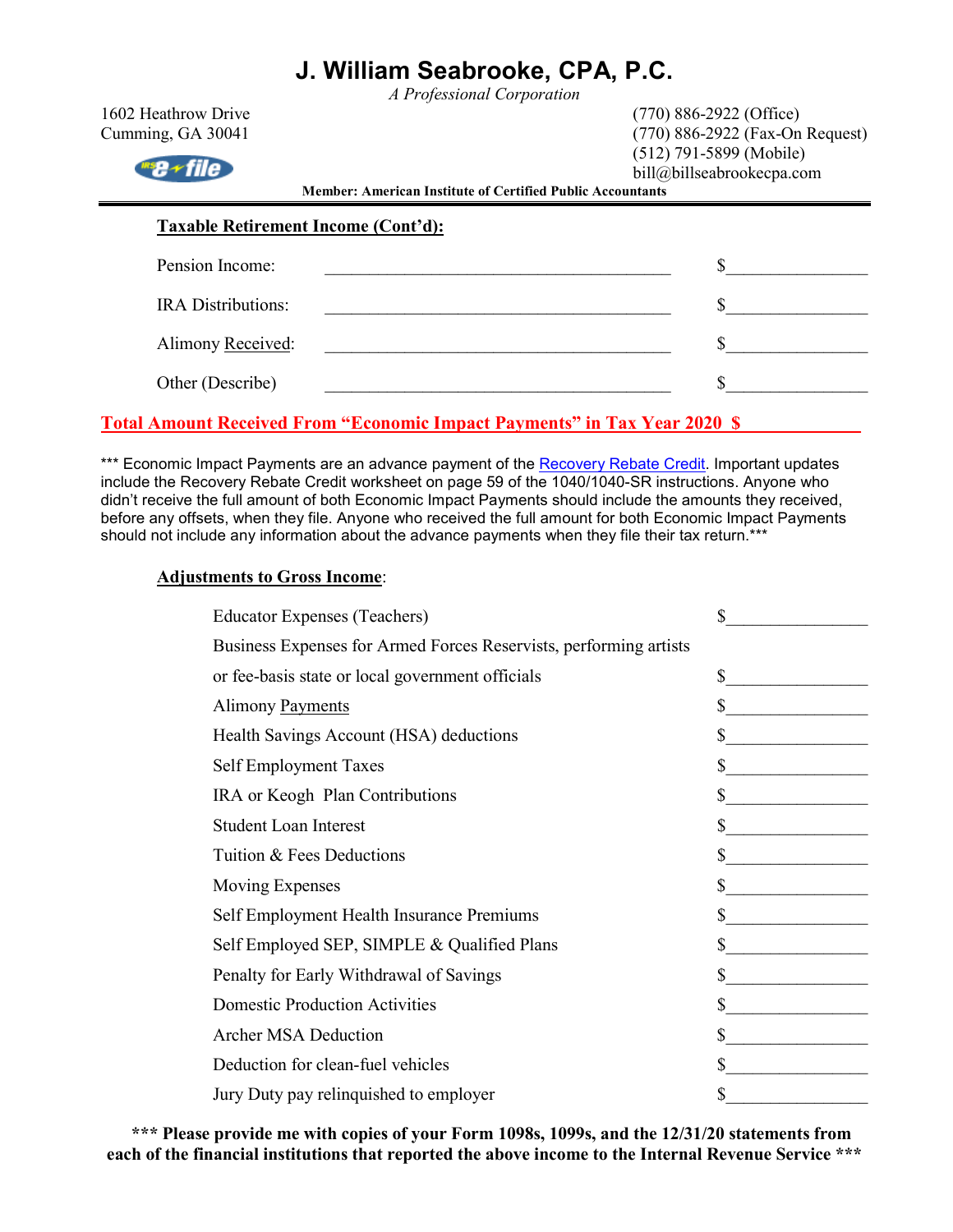*A Professional Corporation* 

| 1602 Heathrow Drive                        |                                                                   | $(770)$ 886-2922 (Office)                              |
|--------------------------------------------|-------------------------------------------------------------------|--------------------------------------------------------|
| Cumming, GA 30041                          |                                                                   | (770) 886-2922 (Fax-On Request)                        |
| $^{ws}$ a $+$ file                         | <b>Member: American Institute of Certified Public Accountants</b> | $(512)$ 791-5899 (Mobile)<br>bill@billseabrookecpa.com |
|                                            |                                                                   |                                                        |
| <b>Taxable Retirement Income (Cont'd):</b> |                                                                   |                                                        |
| Pension Income:                            |                                                                   |                                                        |
| <b>IRA</b> Distributions:                  |                                                                   |                                                        |
| Alimony Received:                          |                                                                   |                                                        |
| Other (Describe)                           |                                                                   |                                                        |
|                                            |                                                                   |                                                        |

### **Total Amount Received From "Economic Impact Payments" in Tax Year 2020 \$**

\*\*\* Economic Impact Payments are an advance payment of the Recovery Rebate Credit. Important updates include the Recovery Rebate Credit worksheet on page 59 of the 1040/1040-SR instructions. Anyone who didn't receive the full amount of both Economic Impact Payments should include the amounts they received, before any offsets, when they file. Anyone who received the full amount for both Economic Impact Payments should not include any information about the advance payments when they file their tax return.\*\*\*

#### **Adjustments to Gross Income**:

| <b>Educator Expenses (Teachers)</b>                               | \$                                                                                                                          |
|-------------------------------------------------------------------|-----------------------------------------------------------------------------------------------------------------------------|
| Business Expenses for Armed Forces Reservists, performing artists |                                                                                                                             |
| or fee-basis state or local government officials                  | \$                                                                                                                          |
| Alimony Payments                                                  | \$                                                                                                                          |
| Health Savings Account (HSA) deductions                           | \$                                                                                                                          |
| Self Employment Taxes                                             | \$                                                                                                                          |
| IRA or Keogh Plan Contributions                                   |                                                                                                                             |
| <b>Student Loan Interest</b>                                      |                                                                                                                             |
| Tuition & Fees Deductions                                         | \$                                                                                                                          |
| <b>Moving Expenses</b>                                            | \$<br><u> 1990 - Jan Barat, prima prima prima prima prima prima prima prima prima prima prima prima prima prima prima p</u> |
| Self Employment Health Insurance Premiums                         | \$                                                                                                                          |
| Self Employed SEP, SIMPLE & Qualified Plans                       |                                                                                                                             |
| Penalty for Early Withdrawal of Savings                           |                                                                                                                             |
| <b>Domestic Production Activities</b>                             | \$                                                                                                                          |
| <b>Archer MSA Deduction</b>                                       | \$                                                                                                                          |
| Deduction for clean-fuel vehicles                                 |                                                                                                                             |
| Jury Duty pay relinguished to employer                            |                                                                                                                             |

**\*\*\* Please provide me with copies of your Form 1098s, 1099s, and the 12/31/20 statements from each of the financial institutions that reported the above income to the Internal Revenue Service \*\*\***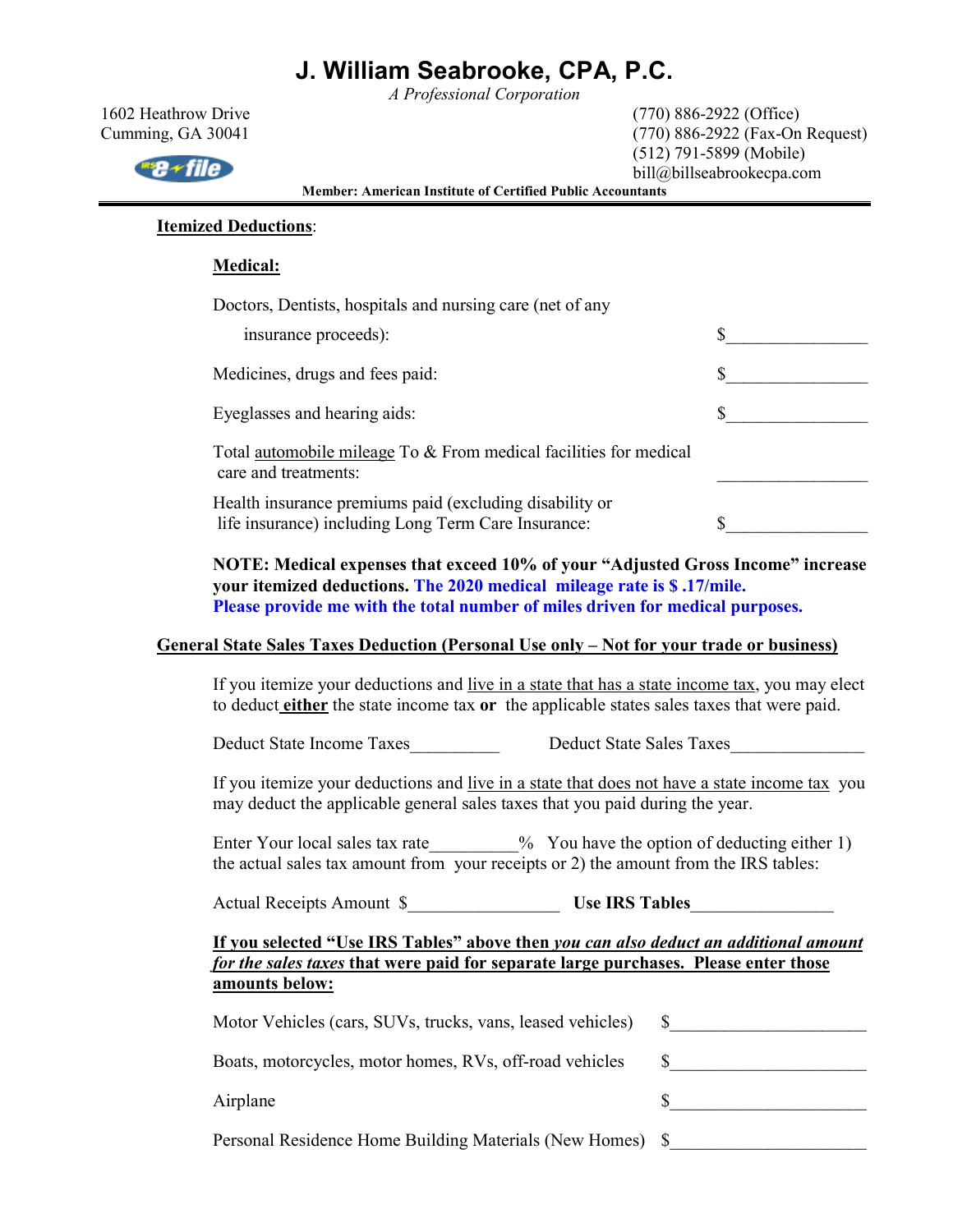*A Professional Corporation* 

1602 Heathrow Drive (770) 886-2922 (Office) Cumming, GA 30041 (770) 886-2922 (Fax-On Request) (512) 791-5899 (Mobile) bill@billseabrookecpa.com

**Member: American Institute of Certified Public Accountants** 

### **Itemized Deductions**:

#### **Medical:**

Doctors, Dentists, hospitals and nursing care (net of any

| insurance proceeds):                                                                                           |  |
|----------------------------------------------------------------------------------------------------------------|--|
| Medicines, drugs and fees paid:                                                                                |  |
| Eyeglasses and hearing aids:                                                                                   |  |
| Total automobile mileage To & From medical facilities for medical<br>care and treatments:                      |  |
| Health insurance premiums paid (excluding disability or<br>life insurance) including Long Term Care Insurance: |  |

 **NOTE: Medical expenses that exceed 10% of your "Adjusted Gross Income" increase your itemized deductions. The 2020 medical mileage rate is \$ .17/mile. Please provide me with the total number of miles driven for medical purposes.** 

#### **General State Sales Taxes Deduction (Personal Use only – Not for your trade or business)**

If you itemize your deductions and live in a state that has a state income tax, you may elect to deduct **either** the state income tax **or** the applicable states sales taxes that were paid.

Deduct State Income Taxes<br>Deduct State Sales Taxes

If you itemize your deductions and live in a state that does not have a state income tax you may deduct the applicable general sales taxes that you paid during the year.

Enter Your local sales tax rate  $\%$  You have the option of deducting either 1) the actual sales tax amount from your receipts or 2) the amount from the IRS tables:

Actual Receipts Amount \$\_\_\_\_\_\_\_\_\_\_\_\_\_\_\_\_\_ **Use IRS Tables**\_\_\_\_\_\_\_\_\_\_\_\_\_\_\_\_

### **If you selected "Use IRS Tables" above then** *you can also deduct an additional amount for the sales taxes* **that were paid for separate large purchases. Please enter those amounts below:**

| Motor Vehicles (cars, SUVs, trucks, vans, leased vehicles) |  |
|------------------------------------------------------------|--|
| Boats, motorcycles, motor homes, RVs, off-road vehicles    |  |
| Airplane                                                   |  |
| Personal Residence Home Building Materials (New Homes) \$  |  |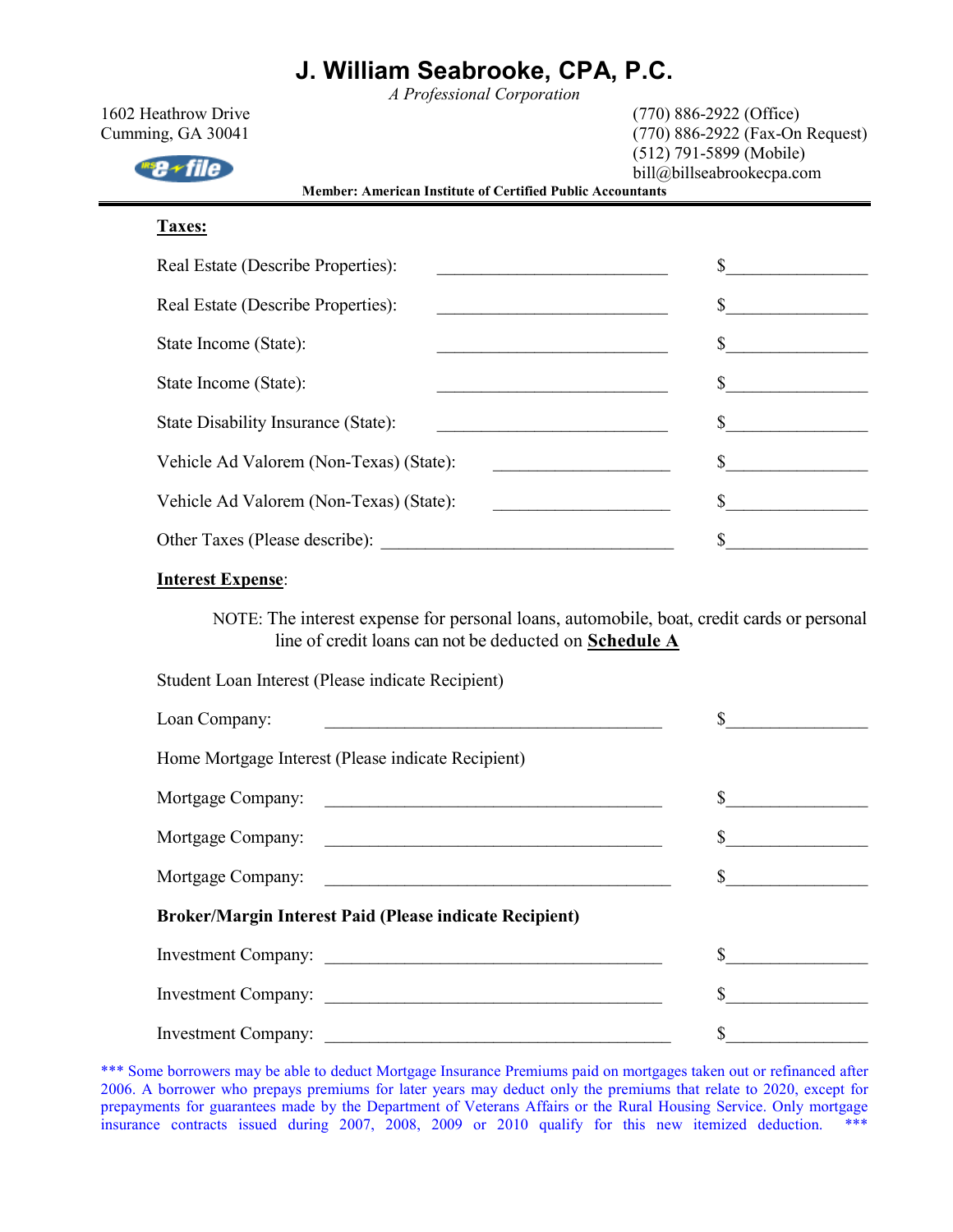*A Professional Corporation* 

| 1602 Heathrow Drive<br>Cumming, GA 30041                                                                                                                                                                                                                                                                                                                                                                                                                                                                             | $(770)$ 886-2922 (Office)<br>(770) 886-2922 (Fax-On Request)<br>$(512)$ 791-5899 (Mobile) |
|----------------------------------------------------------------------------------------------------------------------------------------------------------------------------------------------------------------------------------------------------------------------------------------------------------------------------------------------------------------------------------------------------------------------------------------------------------------------------------------------------------------------|-------------------------------------------------------------------------------------------|
| <b>Member: American Institute of Certified Public Accountants</b><br>Taxes:<br>Real Estate (Describe Properties):<br><u> 1989 - Johann Barbara, martxa alemaniar a</u><br>Real Estate (Describe Properties):<br>State Income (State):<br><u> La componenta del componente del componente del componente del componente del componente del componente del c</u><br>State Income (State):<br>State Disability Insurance (State):<br>Vehicle Ad Valorem (Non-Texas) (State):<br>Vehicle Ad Valorem (Non-Texas) (State): | bill@billseabrookecpa.com                                                                 |
|                                                                                                                                                                                                                                                                                                                                                                                                                                                                                                                      |                                                                                           |
|                                                                                                                                                                                                                                                                                                                                                                                                                                                                                                                      | \$                                                                                        |
|                                                                                                                                                                                                                                                                                                                                                                                                                                                                                                                      | \$                                                                                        |
|                                                                                                                                                                                                                                                                                                                                                                                                                                                                                                                      | S.                                                                                        |
|                                                                                                                                                                                                                                                                                                                                                                                                                                                                                                                      |                                                                                           |
|                                                                                                                                                                                                                                                                                                                                                                                                                                                                                                                      |                                                                                           |
|                                                                                                                                                                                                                                                                                                                                                                                                                                                                                                                      | \$                                                                                        |
|                                                                                                                                                                                                                                                                                                                                                                                                                                                                                                                      | \$                                                                                        |
|                                                                                                                                                                                                                                                                                                                                                                                                                                                                                                                      | \$                                                                                        |
| <b>Interest Expense:</b>                                                                                                                                                                                                                                                                                                                                                                                                                                                                                             |                                                                                           |

NOTE: The interest expense for personal loans, automobile, boat, credit cards or personal line of credit loans can not be deducted on **Schedule A**

Student Loan Interest (Please indicate Recipient)

| Loan Company:                                                  | $\sim$ |  |  |  |
|----------------------------------------------------------------|--------|--|--|--|
| Home Mortgage Interest (Please indicate Recipient)             |        |  |  |  |
| Mortgage Company:                                              |        |  |  |  |
| Mortgage Company:                                              |        |  |  |  |
|                                                                |        |  |  |  |
| <b>Broker/Margin Interest Paid (Please indicate Recipient)</b> |        |  |  |  |
|                                                                |        |  |  |  |
| Investment Company:                                            |        |  |  |  |
|                                                                |        |  |  |  |

\*\*\* Some borrowers may be able to deduct Mortgage Insurance Premiums paid on mortgages taken out or refinanced after 2006. A borrower who prepays premiums for later years may deduct only the premiums that relate to 2020, except for prepayments for guarantees made by the Department of Veterans Affairs or the Rural Housing Service. Only mortgage insurance contracts issued during 2007, 2008, 2009 or 2010 qualify for this new itemized deduction. \*\*\*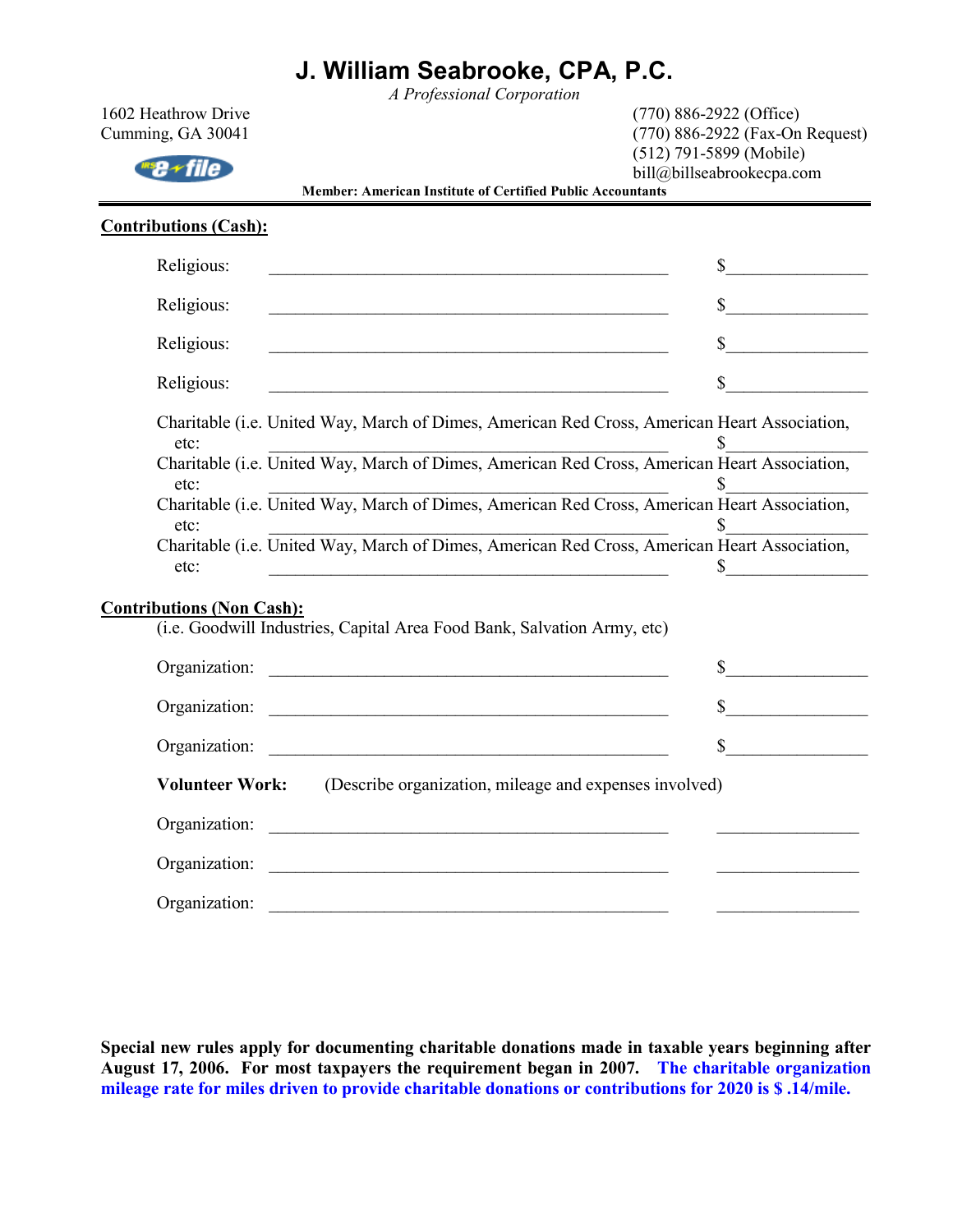*A Professional Corporation*  1602 Heathrow Drive (770) 886-2922 (Office)

| Cumming, GA 30041                                                                                                                 | (770) 886-2922 (Fax-On Request)                        |  |  |
|-----------------------------------------------------------------------------------------------------------------------------------|--------------------------------------------------------|--|--|
| <b>Member: American Institute of Certified Public Accountants</b>                                                                 | $(512)$ 791-5899 (Mobile)<br>bill@billseabrookecpa.com |  |  |
| <b>Contributions (Cash):</b>                                                                                                      |                                                        |  |  |
| Religious:                                                                                                                        | $\sim$ $\sim$                                          |  |  |
| Religious:                                                                                                                        | $\sim$                                                 |  |  |
| Religious:                                                                                                                        | $\sim$                                                 |  |  |
| Religious:<br><u> 1989 - Johann Barn, mars ann an t-Amhain an t-Amhain an t-Amhain an t-Amhain an t-Amhain an t-Amhain an t-A</u> | $\mathbb{S}$                                           |  |  |
| Charitable (i.e. United Way, March of Dimes, American Red Cross, American Heart Association,<br>etc:                              | \$                                                     |  |  |
| Charitable (i.e. United Way, March of Dimes, American Red Cross, American Heart Association,<br>etc:                              |                                                        |  |  |
| etc:<br>Charitable (i.e. United Way, March of Dimes, American Red Cross, American Heart Association,<br>etc:                      |                                                        |  |  |
| etc:<br>Charitable (i.e. United Way, March of Dimes, American Red Cross, American Heart Association,<br>etc:                      | \$                                                     |  |  |
| <b>Contributions (Non Cash):</b><br>(i.e. Goodwill Industries, Capital Area Food Bank, Salvation Army, etc)                       |                                                        |  |  |
|                                                                                                                                   |                                                        |  |  |
| Organization:                                                                                                                     |                                                        |  |  |
| Organization:                                                                                                                     | $\sim$                                                 |  |  |
| <b>Volunteer Work:</b>                                                                                                            | (Describe organization, mileage and expenses involved) |  |  |
|                                                                                                                                   |                                                        |  |  |
| Organization:                                                                                                                     |                                                        |  |  |
| Organization:                                                                                                                     |                                                        |  |  |

**Special new rules apply for documenting charitable donations made in taxable years beginning after August 17, 2006. For most taxpayers the requirement began in 2007. The charitable organization mileage rate for miles driven to provide charitable donations or contributions for 2020 is \$ .14/mile.**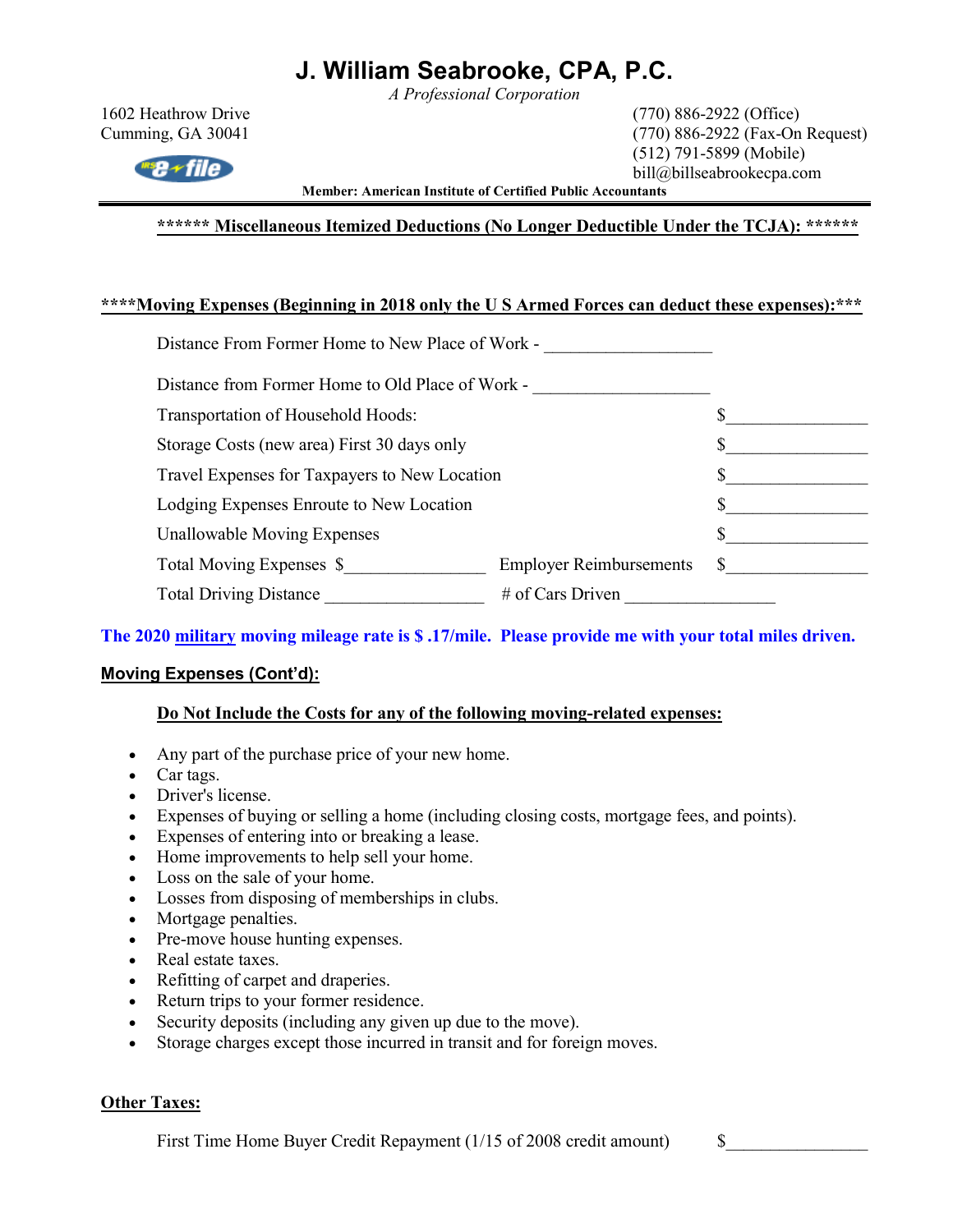*A Professional Corporation* 

 $w_{\text{max}}$ 

1602 Heathrow Drive (770) 886-2922 (Office) Cumming, GA 30041 (770) 886-2922 (Fax-On Request) (512) 791-5899 (Mobile) bill@billseabrookecpa.com

**Member: American Institute of Certified Public Accountants** 

**\*\*\*\*\*\* Miscellaneous Itemized Deductions (No Longer Deductible Under the TCJA): \*\*\*\*\*\*** 

#### **\*\*\*\*Moving Expenses (Beginning in 2018 only the U S Armed Forces can deduct these expenses):\*\*\***

| Distance From Former Home to New Place of Work - |                                |   |  |
|--------------------------------------------------|--------------------------------|---|--|
| Distance from Former Home to Old Place of Work - |                                |   |  |
| Transportation of Household Hoods:               |                                |   |  |
| Storage Costs (new area) First 30 days only      |                                |   |  |
| Travel Expenses for Taxpayers to New Location    |                                |   |  |
| Lodging Expenses Enroute to New Location         |                                |   |  |
| <b>Unallowable Moving Expenses</b>               |                                |   |  |
| Total Moving Expenses \$                         | <b>Employer Reimbursements</b> | S |  |
| <b>Total Driving Distance</b>                    | $#$ of Cars Driven             |   |  |
|                                                  |                                |   |  |

### **The 2020 military moving mileage rate is \$ .17/mile. Please provide me with your total miles driven.**

### **Moving Expenses (Cont'd):**

#### **Do Not Include the Costs for any of the following moving-related expenses:**

- Any part of the purchase price of your new home.
- Car tags.
- Driver's license.
- Expenses of buying or selling a home (including closing costs, mortgage fees, and points).
- Expenses of entering into or breaking a lease.
- Home improvements to help sell your home.
- Loss on the sale of your home.
- Losses from disposing of memberships in clubs.
- Mortgage penalties.
- Pre-move house hunting expenses.
- Real estate taxes.
- Refitting of carpet and draperies.
- Return trips to your former residence.
- Security deposits (including any given up due to the move).
- Storage charges except those incurred in transit and for foreign moves.

#### **Other Taxes:**

First Time Home Buyer Credit Repayment (1/15 of 2008 credit amount) \$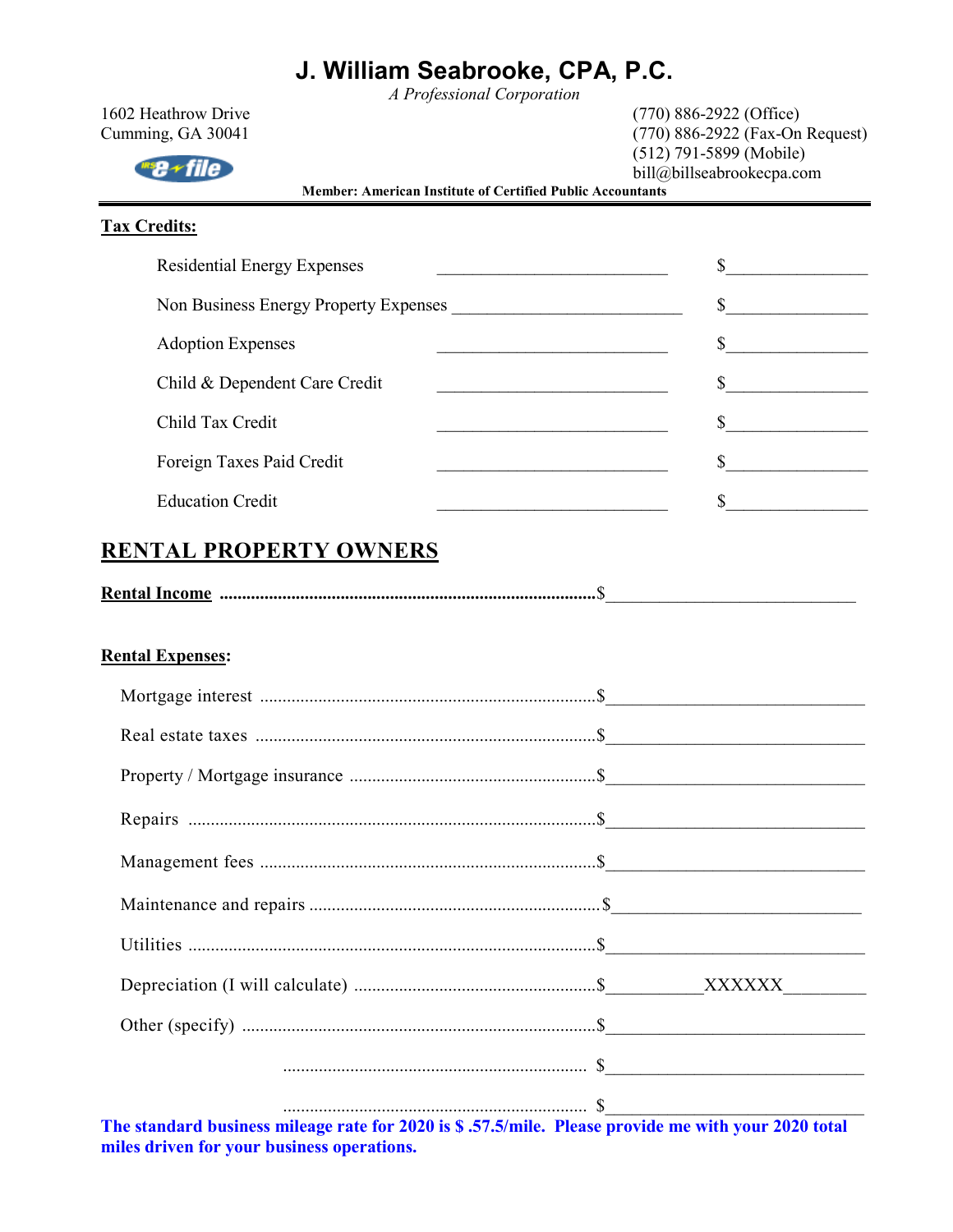*A Professional Corporation* 

| 1602 Heathrow Drive<br>Cumming, GA 30041<br>≁file<br>Member: American Institute of Certified Public Accountants | $(770) 886 - 2922$ (Office)<br>(770) 886-2922 (Fax-On Request)<br>$(512)$ 791-5899 (Mobile)<br>bill@billseabrookecpa.com                            |  |  |
|-----------------------------------------------------------------------------------------------------------------|-----------------------------------------------------------------------------------------------------------------------------------------------------|--|--|
| <b>Tax Credits:</b>                                                                                             |                                                                                                                                                     |  |  |
| <b>Residential Energy Expenses</b>                                                                              | $\frac{1}{1}$                                                                                                                                       |  |  |
| Non Business Energy Property Expenses                                                                           | $\frac{\text{S}}{\text{S}}$                                                                                                                         |  |  |
| <b>Adoption Expenses</b>                                                                                        | s                                                                                                                                                   |  |  |
| Child & Dependent Care Credit                                                                                   | $\frac{\text{S}}{\text{S}}$<br><u> 1989 - Johann Barbara, martin amerikan basar dan bagi dan bagi dan bagi dalam bagi dalam bagi dalam bagi dan</u> |  |  |
| Child Tax Credit                                                                                                | $\frac{\text{S}}{\text{S}}$                                                                                                                         |  |  |
| Foreign Taxes Paid Credit                                                                                       | s                                                                                                                                                   |  |  |
| <b>Education Credit</b>                                                                                         | $\frac{1}{2}$<br><u> 1989 - Johann Barbara, martin amerikan basar da</u>                                                                            |  |  |
| <b>Rental Expenses:</b>                                                                                         |                                                                                                                                                     |  |  |
|                                                                                                                 |                                                                                                                                                     |  |  |
|                                                                                                                 |                                                                                                                                                     |  |  |
|                                                                                                                 |                                                                                                                                                     |  |  |
|                                                                                                                 |                                                                                                                                                     |  |  |
|                                                                                                                 |                                                                                                                                                     |  |  |
|                                                                                                                 |                                                                                                                                                     |  |  |
|                                                                                                                 |                                                                                                                                                     |  |  |
|                                                                                                                 |                                                                                                                                                     |  |  |
|                                                                                                                 |                                                                                                                                                     |  |  |
|                                                                                                                 |                                                                                                                                                     |  |  |
|                                                                                                                 |                                                                                                                                                     |  |  |

**The standard business mileage rate for 2020 is \$ .57.5/mile. Please provide me with your 2020 total miles driven for your business operations.**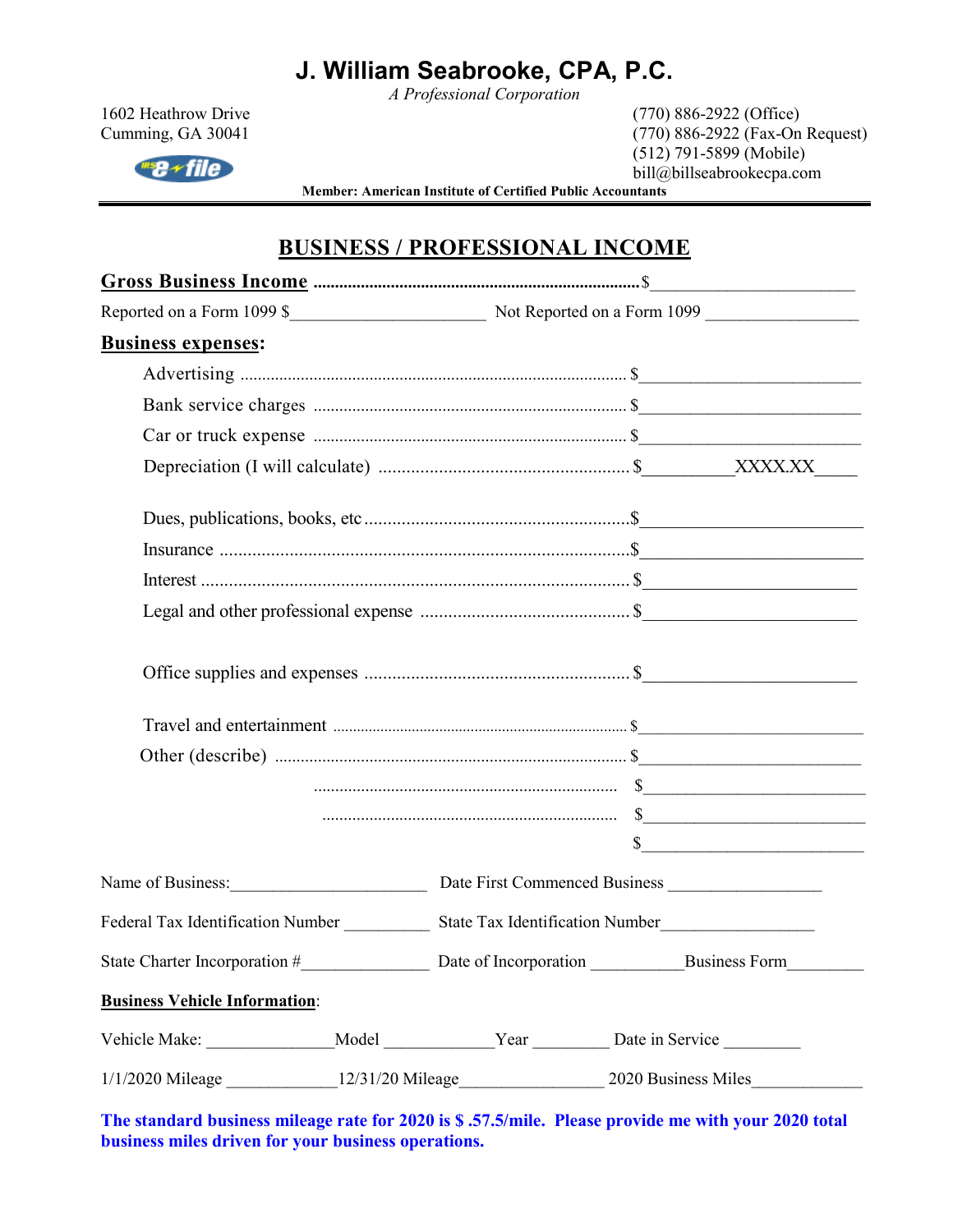*A Professional Corporation* 

 $\text{Hilb}$ 

1602 Heathrow Drive (770) 886-2922 (Office) Cumming, GA 30041 (770) 886-2922 (Fax-On Request) (512) 791-5899 (Mobile) bill@billseabrookecpa.com

**Member: American Institute of Certified Public Accountants** 

### **BUSINESS / PROFESSIONAL INCOME**

| <b>Business expenses:</b>                                                                           |                                                       |                       |  |                      |  |
|-----------------------------------------------------------------------------------------------------|-------------------------------------------------------|-----------------------|--|----------------------|--|
|                                                                                                     |                                                       |                       |  |                      |  |
|                                                                                                     |                                                       |                       |  |                      |  |
|                                                                                                     |                                                       |                       |  |                      |  |
|                                                                                                     |                                                       |                       |  |                      |  |
|                                                                                                     |                                                       |                       |  |                      |  |
|                                                                                                     |                                                       |                       |  |                      |  |
|                                                                                                     |                                                       |                       |  |                      |  |
|                                                                                                     |                                                       |                       |  |                      |  |
|                                                                                                     |                                                       |                       |  |                      |  |
|                                                                                                     |                                                       |                       |  |                      |  |
|                                                                                                     |                                                       |                       |  |                      |  |
|                                                                                                     |                                                       |                       |  |                      |  |
|                                                                                                     |                                                       |                       |  |                      |  |
|                                                                                                     |                                                       |                       |  | s                    |  |
|                                                                                                     |                                                       |                       |  |                      |  |
|                                                                                                     |                                                       |                       |  |                      |  |
| State Charter Incorporation #                                                                       |                                                       | Date of Incorporation |  | <b>Business Form</b> |  |
| <b>Business Vehicle Information:</b>                                                                |                                                       |                       |  |                      |  |
| Vehicle Make: _________________Model _____________Year _________Date in Service ___________________ |                                                       |                       |  |                      |  |
|                                                                                                     | 1/1/2020 Mileage 12/31/20 Mileage 2020 Business Miles |                       |  |                      |  |

**The standard business mileage rate for 2020 is \$ .57.5/mile. Please provide me with your 2020 total business miles driven for your business operations.**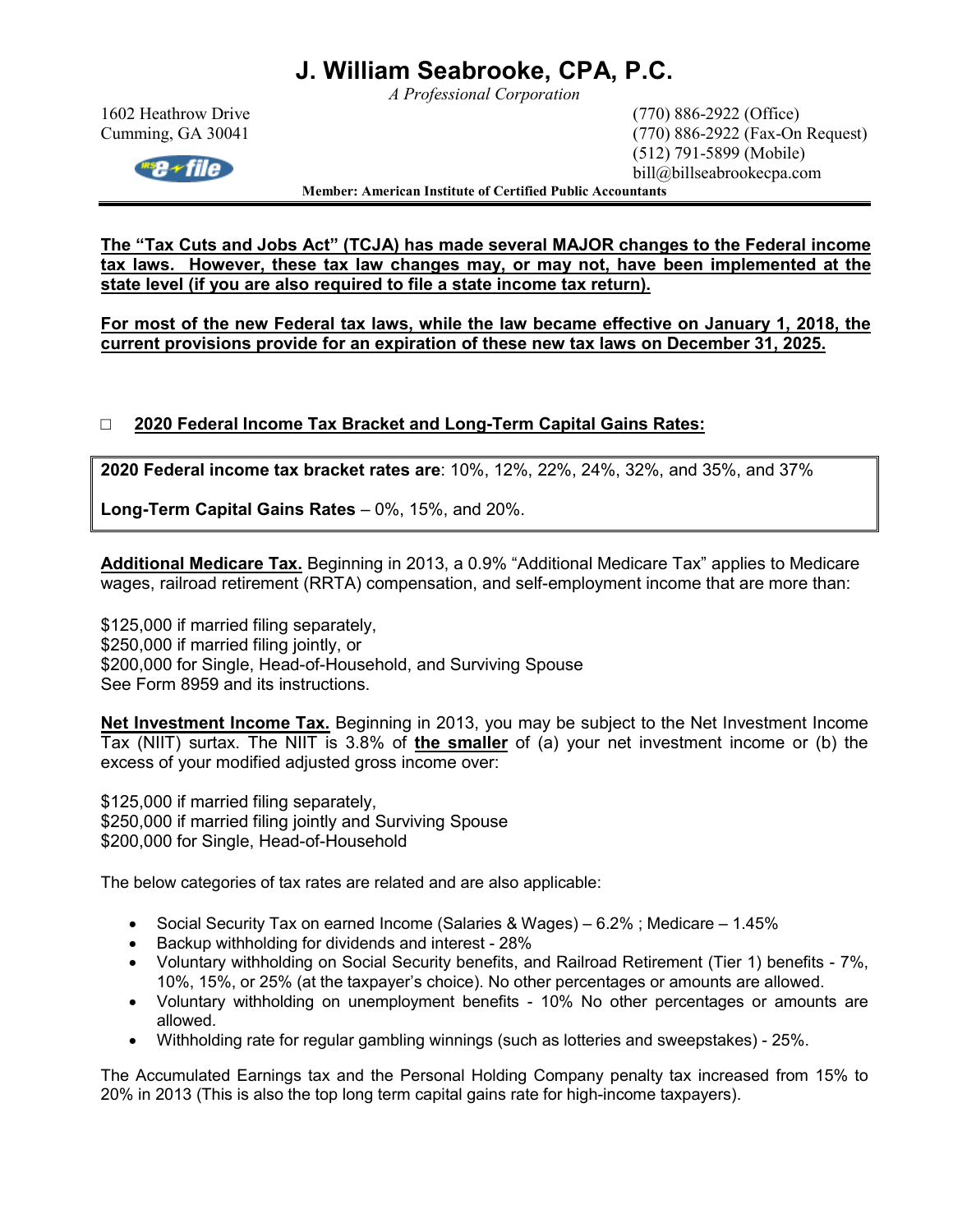*A Professional Corporation* 

1602 Heathrow Drive (770) 886-2922 (Office) Cumming, GA 30041 (770) 886-2922 (Fax-On Request) (512) 791-5899 (Mobile) bill@billseabrookecpa.com

**Member: American Institute of Certified Public Accountants** 

**The "Tax Cuts and Jobs Act" (TCJA) has made several MAJOR changes to the Federal income tax laws. However, these tax law changes may, or may not, have been implemented at the state level (if you are also required to file a state income tax return).** 

**For most of the new Federal tax laws, while the law became effective on January 1, 2018, the current provisions provide for an expiration of these new tax laws on December 31, 2025.** 

### □ **2020 Federal Income Tax Bracket and Long-Term Capital Gains Rates:**

**2020 Federal income tax bracket rates are**: 10%, 12%, 22%, 24%, 32%, and 35%, and 37%

**Long-Term Capital Gains Rates** – 0%, 15%, and 20%.

**Additional Medicare Tax.** Beginning in 2013, a 0.9% "Additional Medicare Tax" applies to Medicare wages, railroad retirement (RRTA) compensation, and self-employment income that are more than:

\$125,000 if married filing separately, \$250,000 if married filing jointly, or \$200,000 for Single, Head-of-Household, and Surviving Spouse See Form 8959 and its instructions.

**Net Investment Income Tax.** Beginning in 2013, you may be subject to the Net Investment Income Tax (NIIT) surtax. The NIIT is 3.8% of **the smaller** of (a) your net investment income or (b) the excess of your modified adjusted gross income over:

\$125,000 if married filing separately, \$250,000 if married filing jointly and Surviving Spouse \$200,000 for Single, Head-of-Household

The below categories of tax rates are related and are also applicable:

- Social Security Tax on earned Income (Salaries & Wages) 6.2% ; Medicare 1.45%
- Backup withholding for dividends and interest 28%
- Voluntary withholding on Social Security benefits, and Railroad Retirement (Tier 1) benefits 7%, 10%, 15%, or 25% (at the taxpayer's choice). No other percentages or amounts are allowed.
- Voluntary withholding on unemployment benefits 10% No other percentages or amounts are allowed.
- Withholding rate for regular gambling winnings (such as lotteries and sweepstakes) 25%.

The Accumulated Earnings tax and the Personal Holding Company penalty tax increased from 15% to 20% in 2013 (This is also the top long term capital gains rate for high-income taxpayers).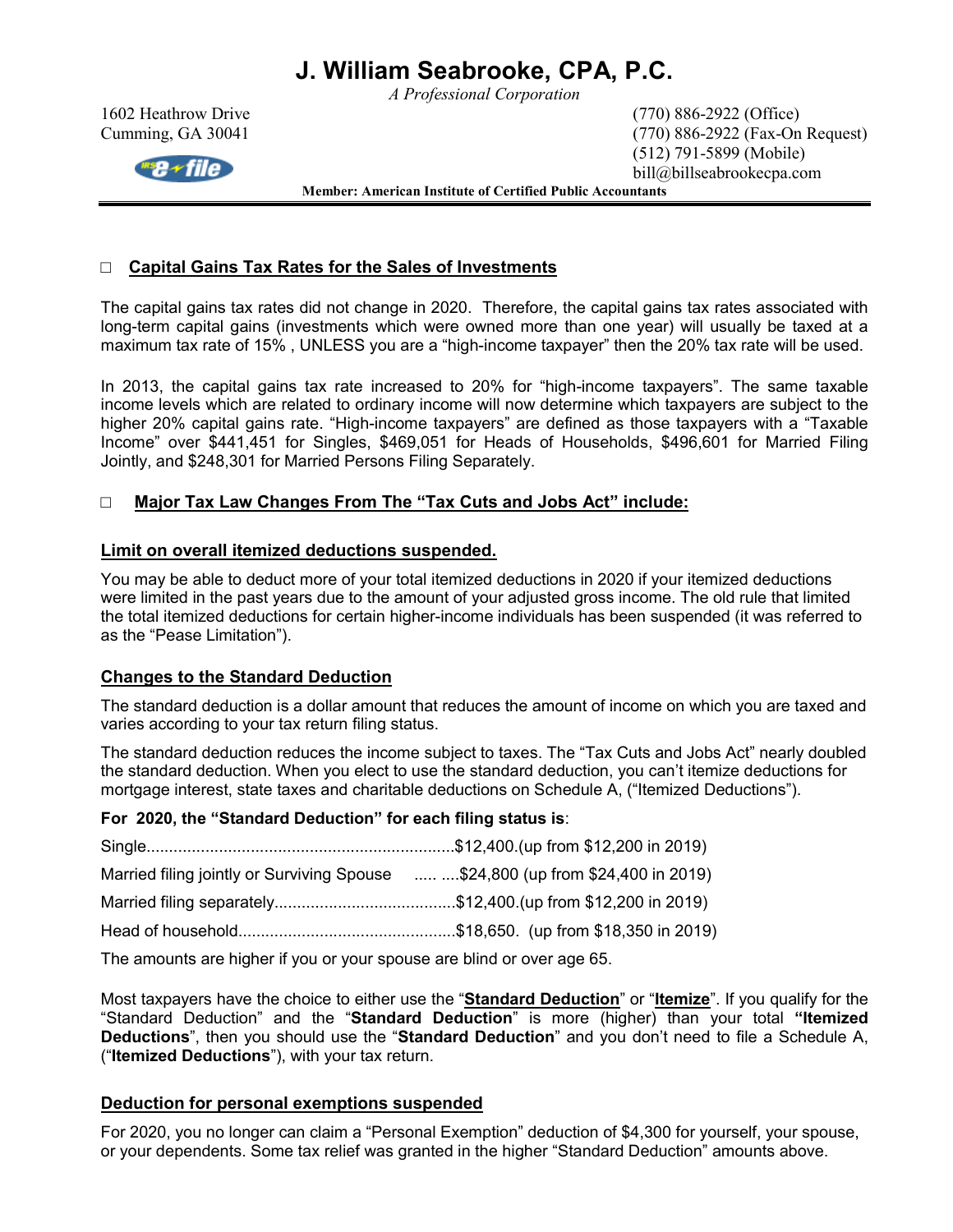*A Professional Corporation* 



1602 Heathrow Drive (770) 886-2922 (Office) Cumming, GA 30041 (770) 886-2922 (Fax-On Request) (512) 791-5899 (Mobile) bill@billseabrookecpa.com

**Member: American Institute of Certified Public Accountants** 

### □ **Capital Gains Tax Rates for the Sales of Investments**

The capital gains tax rates did not change in 2020. Therefore, the capital gains tax rates associated with long-term capital gains (investments which were owned more than one year) will usually be taxed at a maximum tax rate of 15% , UNLESS you are a "high-income taxpayer" then the 20% tax rate will be used.

In 2013, the capital gains tax rate increased to 20% for "high-income taxpayers". The same taxable income levels which are related to ordinary income will now determine which taxpayers are subject to the higher 20% capital gains rate. "High-income taxpayers" are defined as those taxpayers with a "Taxable Income" over \$441,451 for Singles, \$469,051 for Heads of Households, \$496,601 for Married Filing Jointly, and \$248,301 for Married Persons Filing Separately.

#### □ **Major Tax Law Changes From The "Tax Cuts and Jobs Act" include:**

#### **Limit on overall itemized deductions suspended.**

You may be able to deduct more of your total itemized deductions in 2020 if your itemized deductions were limited in the past years due to the amount of your adjusted gross income. The old rule that limited the total itemized deductions for certain higher-income individuals has been suspended (it was referred to as the "Pease Limitation").

#### **Changes to the Standard Deduction**

The standard deduction is a dollar amount that reduces the amount of income on which you are taxed and varies according to your tax return filing status.

The standard deduction reduces the income subject to taxes. The "Tax Cuts and Jobs Act" nearly doubled the standard deduction. When you elect to use the standard deduction, you can't itemize deductions for mortgage interest, state taxes and charitable deductions on Schedule A, ("Itemized Deductions").

#### **For 2020, the "Standard Deduction" for each filing status is**:

| Married filing jointly or Surviving Spouse  \$24,800 (up from \$24,400 in 2019) |
|---------------------------------------------------------------------------------|
|                                                                                 |
|                                                                                 |
|                                                                                 |

The amounts are higher if you or your spouse are blind or over age 65.

Most taxpayers have the choice to either use the "**Standard Deduction**" or "**Itemize**". If you qualify for the "Standard Deduction" and the "**Standard Deduction**" is more (higher) than your total **"Itemized Deductions**", then you should use the "**Standard Deduction**" and you don't need to file a Schedule A, ("**Itemized Deductions**"), with your tax return.

#### **Deduction for personal exemptions suspended**

For 2020, you no longer can claim a "Personal Exemption" deduction of \$4,300 for yourself, your spouse, or your dependents. Some tax relief was granted in the higher "Standard Deduction" amounts above.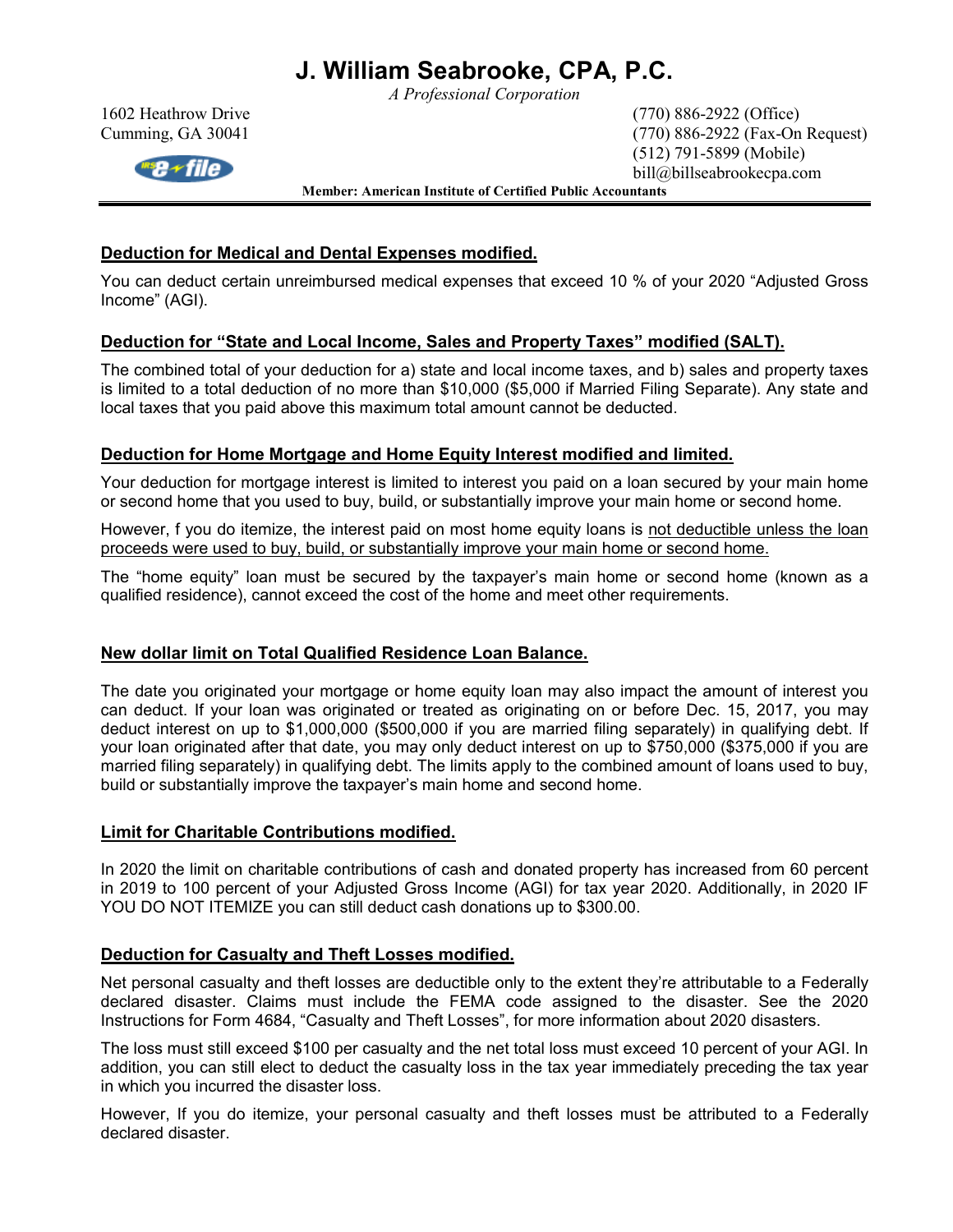*A Professional Corporation* 



1602 Heathrow Drive (770) 886-2922 (Office) Cumming, GA 30041 (770) 886-2922 (Fax-On Request) (512) 791-5899 (Mobile) bill@billseabrookecpa.com

**Member: American Institute of Certified Public Accountants** 

### **Deduction for Medical and Dental Expenses modified.**

You can deduct certain unreimbursed medical expenses that exceed 10 % of your 2020 "Adjusted Gross Income" (AGI).

### **Deduction for "State and Local Income, Sales and Property Taxes" modified (SALT).**

The combined total of your deduction for a) state and local income taxes, and b) sales and property taxes is limited to a total deduction of no more than \$10,000 (\$5,000 if Married Filing Separate). Any state and local taxes that you paid above this maximum total amount cannot be deducted.

### **Deduction for Home Mortgage and Home Equity Interest modified and limited.**

Your deduction for mortgage interest is limited to interest you paid on a loan secured by your main home or second home that you used to buy, build, or substantially improve your main home or second home.

However, f you do itemize, the interest paid on most home equity loans is not deductible unless the loan proceeds were used to buy, build, or substantially improve your main home or second home.

The "home equity" loan must be secured by the taxpayer's main home or second home (known as a qualified residence), cannot exceed the cost of the home and meet other requirements.

### **New dollar limit on Total Qualified Residence Loan Balance.**

The date you originated your mortgage or home equity loan may also impact the amount of interest you can deduct. If your loan was originated or treated as originating on or before Dec. 15, 2017, you may deduct interest on up to \$1,000,000 (\$500,000 if you are married filing separately) in qualifying debt. If your loan originated after that date, you may only deduct interest on up to \$750,000 (\$375,000 if you are married filing separately) in qualifying debt. The limits apply to the combined amount of loans used to buy, build or substantially improve the taxpayer's main home and second home.

### **Limit for Charitable Contributions modified.**

In 2020 the limit on charitable contributions of cash and donated property has increased from 60 percent in 2019 to 100 percent of your Adjusted Gross Income (AGI) for tax year 2020. Additionally, in 2020 IF YOU DO NOT ITEMIZE you can still deduct cash donations up to \$300.00.

### **Deduction for Casualty and Theft Losses modified.**

Net personal casualty and theft losses are deductible only to the extent they're attributable to a Federally declared disaster. Claims must include the FEMA code assigned to the disaster. See the 2020 Instructions for Form 4684, "Casualty and Theft Losses", for more information about 2020 disasters.

The loss must still exceed \$100 per casualty and the net total loss must exceed 10 percent of your AGI. In addition, you can still elect to deduct the casualty loss in the tax year immediately preceding the tax year in which you incurred the disaster loss.

However, If you do itemize, your personal casualty and theft losses must be attributed to a Federally declared disaster.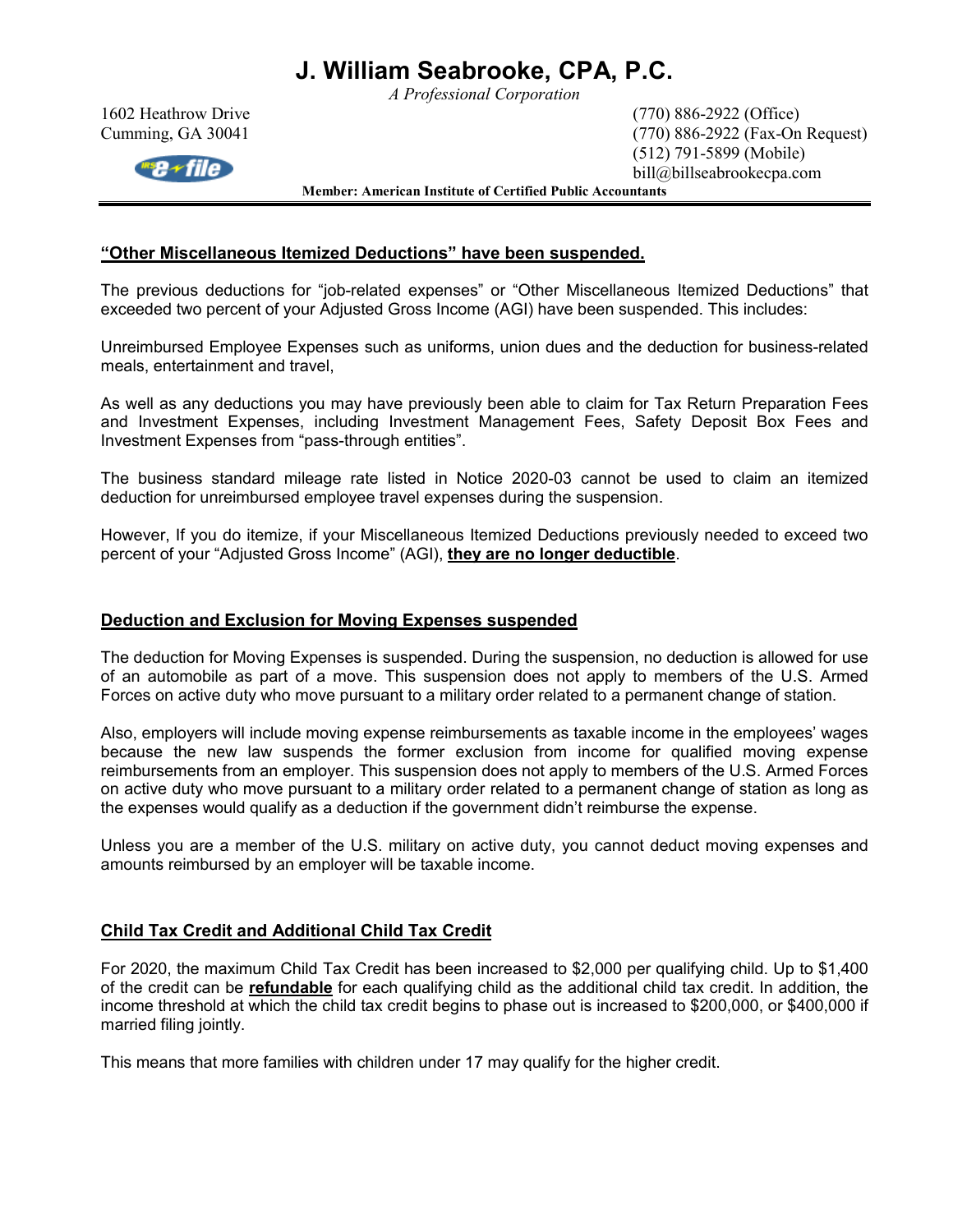*A Professional Corporation* 



1602 Heathrow Drive (770) 886-2922 (Office) Cumming, GA 30041 (770) 886-2922 (Fax-On Request) (512) 791-5899 (Mobile) bill@billseabrookecpa.com

**Member: American Institute of Certified Public Accountants** 

#### **"Other Miscellaneous Itemized Deductions" have been suspended.**

The previous deductions for "job-related expenses" or "Other Miscellaneous Itemized Deductions" that exceeded two percent of your Adjusted Gross Income (AGI) have been suspended. This includes:

Unreimbursed Employee Expenses such as uniforms, union dues and the deduction for business-related meals, entertainment and travel,

As well as any deductions you may have previously been able to claim for Tax Return Preparation Fees and Investment Expenses, including Investment Management Fees, Safety Deposit Box Fees and Investment Expenses from "pass-through entities".

The business standard mileage rate listed in Notice 2020-03 cannot be used to claim an itemized deduction for unreimbursed employee travel expenses during the suspension.

However, If you do itemize, if your Miscellaneous Itemized Deductions previously needed to exceed two percent of your "Adjusted Gross Income" (AGI), **they are no longer deductible**.

#### **Deduction and Exclusion for Moving Expenses suspended**

The deduction for Moving Expenses is suspended. During the suspension, no deduction is allowed for use of an automobile as part of a move. This suspension does not apply to members of the U.S. Armed Forces on active duty who move pursuant to a military order related to a permanent change of station.

Also, employers will include moving expense reimbursements as taxable income in the employees' wages because the new law suspends the former exclusion from income for qualified moving expense reimbursements from an employer. This suspension does not apply to members of the U.S. Armed Forces on active duty who move pursuant to a military order related to a permanent change of station as long as the expenses would qualify as a deduction if the government didn't reimburse the expense.

Unless you are a member of the U.S. military on active duty, you cannot deduct moving expenses and amounts reimbursed by an employer will be taxable income.

#### **Child Tax Credit and Additional Child Tax Credit**

For 2020, the maximum Child Tax Credit has been increased to \$2,000 per qualifying child. Up to \$1,400 of the credit can be **refundable** for each qualifying child as the additional child tax credit. In addition, the income threshold at which the child tax credit begins to phase out is increased to \$200,000, or \$400,000 if married filing jointly.

This means that more families with children under 17 may qualify for the higher credit.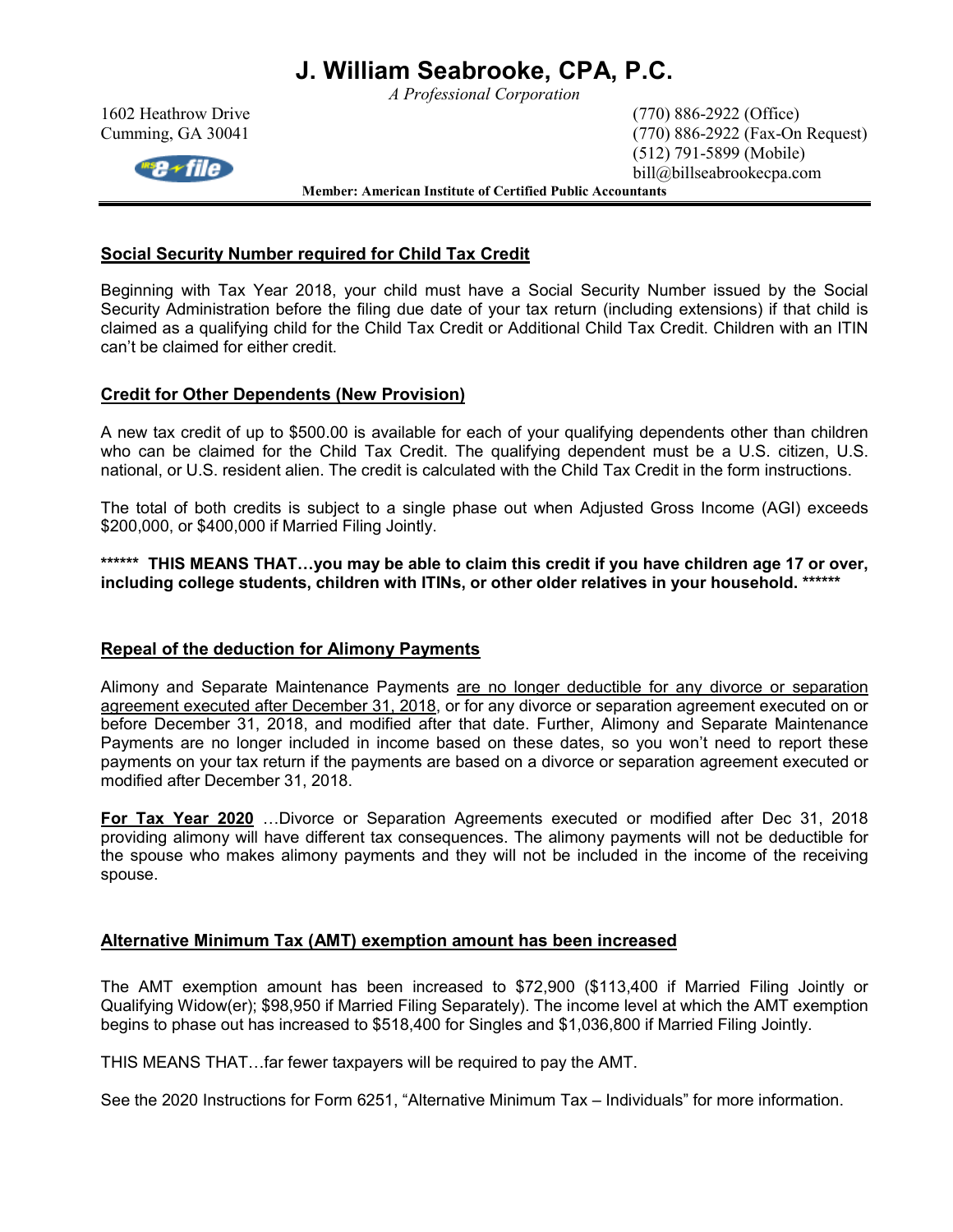*A Professional Corporation* 



1602 Heathrow Drive (770) 886-2922 (Office) Cumming, GA 30041 (770) 886-2922 (Fax-On Request) (512) 791-5899 (Mobile) bill@billseabrookecpa.com

**Member: American Institute of Certified Public Accountants** 

#### **Social Security Number required for Child Tax Credit**

Beginning with Tax Year 2018, your child must have a Social Security Number issued by the Social Security Administration before the filing due date of your tax return (including extensions) if that child is claimed as a qualifying child for the Child Tax Credit or Additional Child Tax Credit. Children with an ITIN can't be claimed for either credit.

#### **Credit for Other Dependents (New Provision)**

A new tax credit of up to \$500.00 is available for each of your qualifying dependents other than children who can be claimed for the Child Tax Credit. The qualifying dependent must be a U.S. citizen, U.S. national, or U.S. resident alien. The credit is calculated with the Child Tax Credit in the form instructions.

The total of both credits is subject to a single phase out when Adjusted Gross Income (AGI) exceeds \$200,000, or \$400,000 if Married Filing Jointly.

\*\*\*\*\*\* THIS MEANS THAT...you may be able to claim this credit if you have children age 17 or over, **including college students, children with ITINs, or other older relatives in your household. \*\*\*\*\*\*** 

#### **Repeal of the deduction for Alimony Payments**

Alimony and Separate Maintenance Payments are no longer deductible for any divorce or separation agreement executed after December 31, 2018, or for any divorce or separation agreement executed on or before December 31, 2018, and modified after that date. Further, Alimony and Separate Maintenance Payments are no longer included in income based on these dates, so you won't need to report these payments on your tax return if the payments are based on a divorce or separation agreement executed or modified after December 31, 2018.

**For Tax Year 2020** ...Divorce or Separation Agreements executed or modified after Dec 31, 2018 providing alimony will have different tax consequences. The alimony payments will not be deductible for the spouse who makes alimony payments and they will not be included in the income of the receiving spouse.

#### **Alternative Minimum Tax (AMT) exemption amount has been increased**

The AMT exemption amount has been increased to \$72,900 (\$113,400 if Married Filing Jointly or Qualifying Widow(er); \$98,950 if Married Filing Separately). The income level at which the AMT exemption begins to phase out has increased to \$518,400 for Singles and \$1,036,800 if Married Filing Jointly.

THIS MEANS THAT...far fewer taxpayers will be required to pay the AMT.

See the 2020 Instructions for Form 6251, "Alternative Minimum Tax – Individuals" for more information.